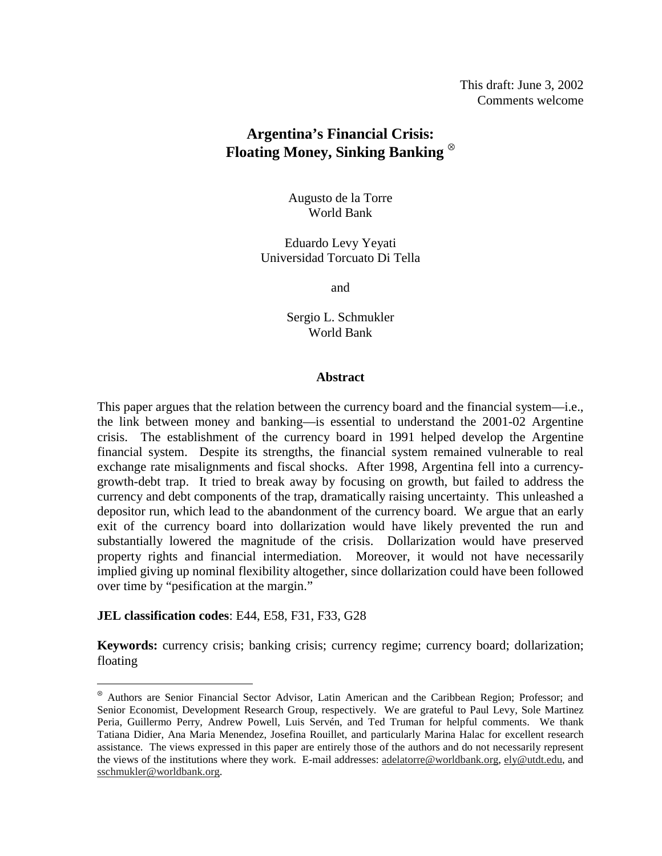# **Argentina's Financial Crisis: Floating Money, Sinking Banking** <sup>⊗</sup>

Augusto de la Torre World Bank

Eduardo Levy Yeyati Universidad Torcuato Di Tella

and

Sergio L. Schmukler World Bank

## **Abstract**

This paper argues that the relation between the currency board and the financial system—i.e., the link between money and banking—is essential to understand the 2001-02 Argentine crisis. The establishment of the currency board in 1991 helped develop the Argentine financial system. Despite its strengths, the financial system remained vulnerable to real exchange rate misalignments and fiscal shocks. After 1998, Argentina fell into a currencygrowth-debt trap. It tried to break away by focusing on growth, but failed to address the currency and debt components of the trap, dramatically raising uncertainty. This unleashed a depositor run, which lead to the abandonment of the currency board. We argue that an early exit of the currency board into dollarization would have likely prevented the run and substantially lowered the magnitude of the crisis. Dollarization would have preserved property rights and financial intermediation. Moreover, it would not have necessarily implied giving up nominal flexibility altogether, since dollarization could have been followed over time by "pesification at the margin."

# **JEL classification codes**: E44, E58, F31, F33, G28

-

**Keywords:** currency crisis; banking crisis; currency regime; currency board; dollarization; floating

<sup>⊗</sup> Authors are Senior Financial Sector Advisor, Latin American and the Caribbean Region; Professor; and Senior Economist, Development Research Group, respectively. We are grateful to Paul Levy, Sole Martinez Peria, Guillermo Perry, Andrew Powell, Luis Servén, and Ted Truman for helpful comments. We thank Tatiana Didier, Ana Maria Menendez, Josefina Rouillet, and particularly Marina Halac for excellent research assistance. The views expressed in this paper are entirely those of the authors and do not necessarily represent the views of the institutions where they work. E-mail addresses: adelatorre@worldbank.org, ely@utdt.edu, and sschmukler@worldbank.org.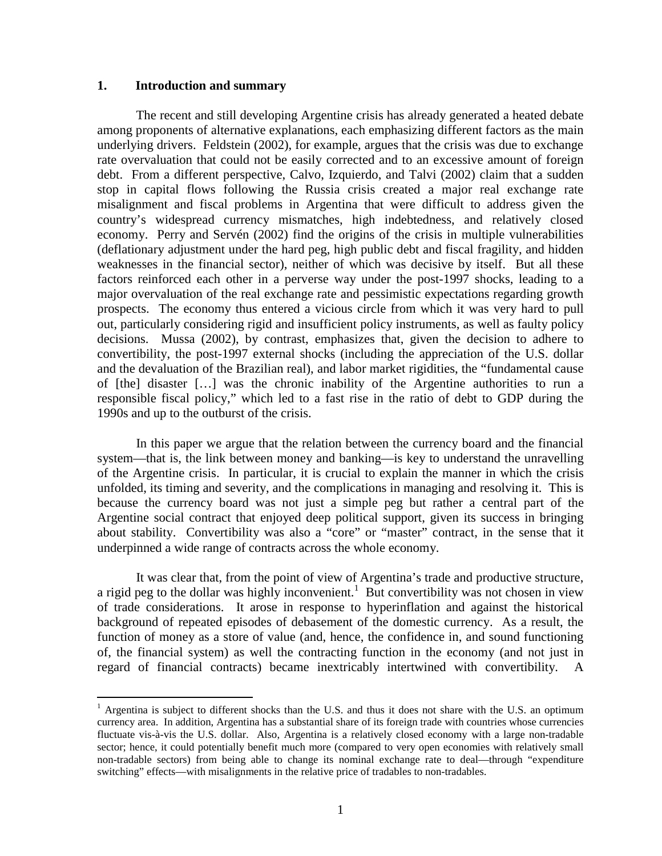#### **1. Introduction and summary**

<u>.</u>

The recent and still developing Argentine crisis has already generated a heated debate among proponents of alternative explanations, each emphasizing different factors as the main underlying drivers. Feldstein (2002), for example, argues that the crisis was due to exchange rate overvaluation that could not be easily corrected and to an excessive amount of foreign debt. From a different perspective, Calvo, Izquierdo, and Talvi (2002) claim that a sudden stop in capital flows following the Russia crisis created a major real exchange rate misalignment and fiscal problems in Argentina that were difficult to address given the country's widespread currency mismatches, high indebtedness, and relatively closed economy. Perry and Servén (2002) find the origins of the crisis in multiple vulnerabilities (deflationary adjustment under the hard peg, high public debt and fiscal fragility, and hidden weaknesses in the financial sector), neither of which was decisive by itself. But all these factors reinforced each other in a perverse way under the post-1997 shocks, leading to a major overvaluation of the real exchange rate and pessimistic expectations regarding growth prospects. The economy thus entered a vicious circle from which it was very hard to pull out, particularly considering rigid and insufficient policy instruments, as well as faulty policy decisions. Mussa (2002), by contrast, emphasizes that, given the decision to adhere to convertibility, the post-1997 external shocks (including the appreciation of the U.S. dollar and the devaluation of the Brazilian real), and labor market rigidities, the "fundamental cause of [the] disaster […] was the chronic inability of the Argentine authorities to run a responsible fiscal policy," which led to a fast rise in the ratio of debt to GDP during the 1990s and up to the outburst of the crisis.

In this paper we argue that the relation between the currency board and the financial system—that is, the link between money and banking—is key to understand the unravelling of the Argentine crisis. In particular, it is crucial to explain the manner in which the crisis unfolded, its timing and severity, and the complications in managing and resolving it. This is because the currency board was not just a simple peg but rather a central part of the Argentine social contract that enjoyed deep political support, given its success in bringing about stability. Convertibility was also a "core" or "master" contract, in the sense that it underpinned a wide range of contracts across the whole economy.

It was clear that, from the point of view of Argentina's trade and productive structure, a rigid peg to the dollar was highly inconvenient.<sup>1</sup> But convertibility was not chosen in view of trade considerations. It arose in response to hyperinflation and against the historical background of repeated episodes of debasement of the domestic currency. As a result, the function of money as a store of value (and, hence, the confidence in, and sound functioning of, the financial system) as well the contracting function in the economy (and not just in regard of financial contracts) became inextricably intertwined with convertibility. A

<sup>&</sup>lt;sup>1</sup> Argentina is subject to different shocks than the U.S. and thus it does not share with the U.S. an optimum currency area. In addition, Argentina has a substantial share of its foreign trade with countries whose currencies fluctuate vis-à-vis the U.S. dollar. Also, Argentina is a relatively closed economy with a large non-tradable sector; hence, it could potentially benefit much more (compared to very open economies with relatively small non-tradable sectors) from being able to change its nominal exchange rate to deal—through "expenditure switching" effects—with misalignments in the relative price of tradables to non-tradables.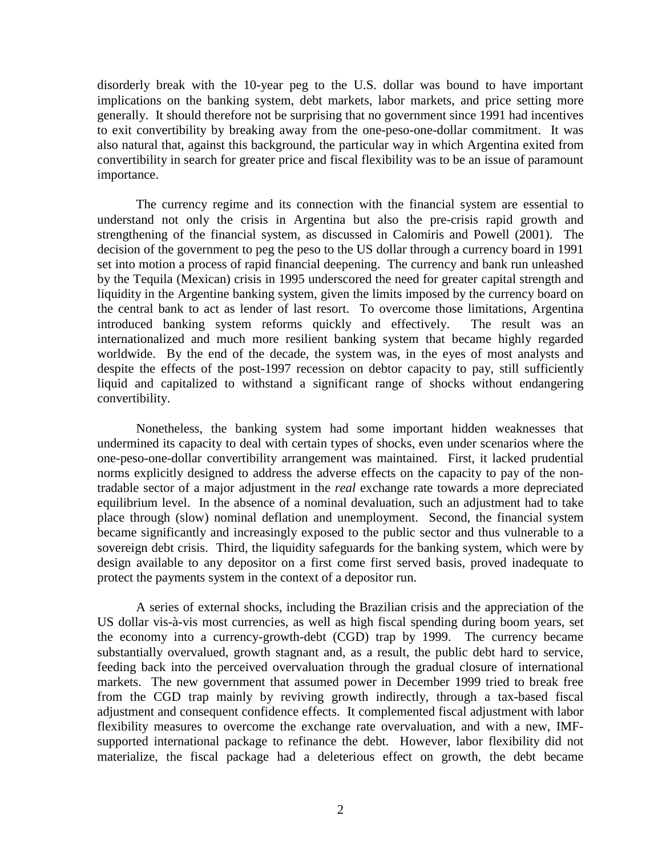disorderly break with the 10-year peg to the U.S. dollar was bound to have important implications on the banking system, debt markets, labor markets, and price setting more generally. It should therefore not be surprising that no government since 1991 had incentives to exit convertibility by breaking away from the one-peso-one-dollar commitment. It was also natural that, against this background, the particular way in which Argentina exited from convertibility in search for greater price and fiscal flexibility was to be an issue of paramount importance.

The currency regime and its connection with the financial system are essential to understand not only the crisis in Argentina but also the pre-crisis rapid growth and strengthening of the financial system, as discussed in Calomiris and Powell (2001). The decision of the government to peg the peso to the US dollar through a currency board in 1991 set into motion a process of rapid financial deepening. The currency and bank run unleashed by the Tequila (Mexican) crisis in 1995 underscored the need for greater capital strength and liquidity in the Argentine banking system, given the limits imposed by the currency board on the central bank to act as lender of last resort. To overcome those limitations, Argentina introduced banking system reforms quickly and effectively. The result was an internationalized and much more resilient banking system that became highly regarded worldwide. By the end of the decade, the system was, in the eyes of most analysts and despite the effects of the post-1997 recession on debtor capacity to pay, still sufficiently liquid and capitalized to withstand a significant range of shocks without endangering convertibility.

Nonetheless, the banking system had some important hidden weaknesses that undermined its capacity to deal with certain types of shocks, even under scenarios where the one-peso-one-dollar convertibility arrangement was maintained. First, it lacked prudential norms explicitly designed to address the adverse effects on the capacity to pay of the nontradable sector of a major adjustment in the *real* exchange rate towards a more depreciated equilibrium level. In the absence of a nominal devaluation, such an adjustment had to take place through (slow) nominal deflation and unemployment. Second, the financial system became significantly and increasingly exposed to the public sector and thus vulnerable to a sovereign debt crisis. Third, the liquidity safeguards for the banking system, which were by design available to any depositor on a first come first served basis, proved inadequate to protect the payments system in the context of a depositor run.

A series of external shocks, including the Brazilian crisis and the appreciation of the US dollar vis-à-vis most currencies, as well as high fiscal spending during boom years, set the economy into a currency-growth-debt (CGD) trap by 1999. The currency became substantially overvalued, growth stagnant and, as a result, the public debt hard to service, feeding back into the perceived overvaluation through the gradual closure of international markets. The new government that assumed power in December 1999 tried to break free from the CGD trap mainly by reviving growth indirectly, through a tax-based fiscal adjustment and consequent confidence effects. It complemented fiscal adjustment with labor flexibility measures to overcome the exchange rate overvaluation, and with a new, IMFsupported international package to refinance the debt. However, labor flexibility did not materialize, the fiscal package had a deleterious effect on growth, the debt became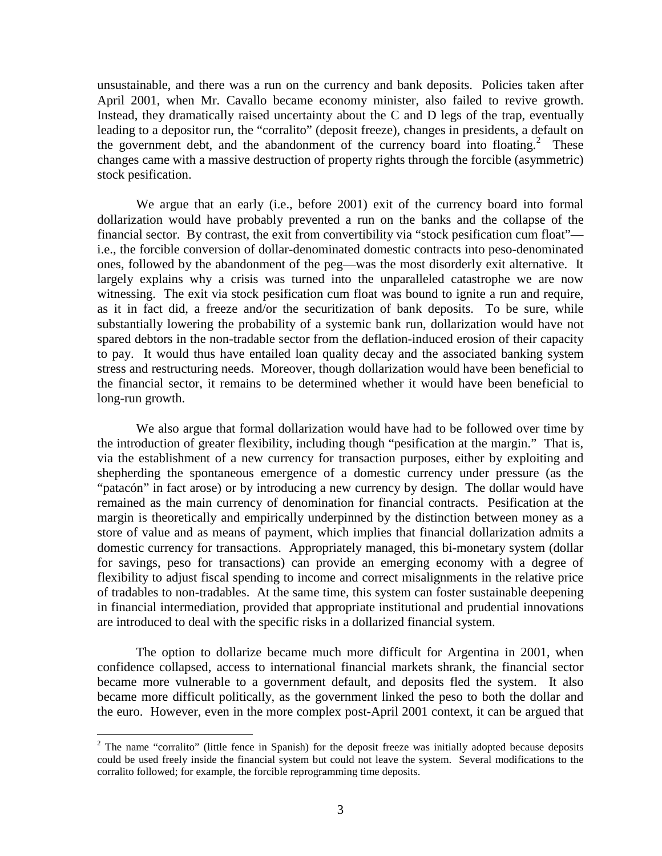unsustainable, and there was a run on the currency and bank deposits. Policies taken after April 2001, when Mr. Cavallo became economy minister, also failed to revive growth. Instead, they dramatically raised uncertainty about the C and D legs of the trap, eventually leading to a depositor run, the "corralito" (deposit freeze), changes in presidents, a default on the government debt, and the abandonment of the currency board into floating.<sup>2</sup> These changes came with a massive destruction of property rights through the forcible (asymmetric) stock pesification.

We argue that an early (i.e., before 2001) exit of the currency board into formal dollarization would have probably prevented a run on the banks and the collapse of the financial sector. By contrast, the exit from convertibility via "stock pesification cum float" i.e., the forcible conversion of dollar-denominated domestic contracts into peso-denominated ones, followed by the abandonment of the peg—was the most disorderly exit alternative. It largely explains why a crisis was turned into the unparalleled catastrophe we are now witnessing. The exit via stock pesification cum float was bound to ignite a run and require, as it in fact did, a freeze and/or the securitization of bank deposits. To be sure, while substantially lowering the probability of a systemic bank run, dollarization would have not spared debtors in the non-tradable sector from the deflation-induced erosion of their capacity to pay. It would thus have entailed loan quality decay and the associated banking system stress and restructuring needs. Moreover, though dollarization would have been beneficial to the financial sector, it remains to be determined whether it would have been beneficial to long-run growth.

We also argue that formal dollarization would have had to be followed over time by the introduction of greater flexibility, including though "pesification at the margin." That is, via the establishment of a new currency for transaction purposes, either by exploiting and shepherding the spontaneous emergence of a domestic currency under pressure (as the "patacón" in fact arose) or by introducing a new currency by design. The dollar would have remained as the main currency of denomination for financial contracts. Pesification at the margin is theoretically and empirically underpinned by the distinction between money as a store of value and as means of payment, which implies that financial dollarization admits a domestic currency for transactions. Appropriately managed, this bi-monetary system (dollar for savings, peso for transactions) can provide an emerging economy with a degree of flexibility to adjust fiscal spending to income and correct misalignments in the relative price of tradables to non-tradables. At the same time, this system can foster sustainable deepening in financial intermediation, provided that appropriate institutional and prudential innovations are introduced to deal with the specific risks in a dollarized financial system.

The option to dollarize became much more difficult for Argentina in 2001, when confidence collapsed, access to international financial markets shrank, the financial sector became more vulnerable to a government default, and deposits fled the system. It also became more difficult politically, as the government linked the peso to both the dollar and the euro. However, even in the more complex post-April 2001 context, it can be argued that

<sup>&</sup>lt;sup>2</sup> The name "corralito" (little fence in Spanish) for the deposit freeze was initially adopted because deposits could be used freely inside the financial system but could not leave the system. Several modifications to the corralito followed; for example, the forcible reprogramming time deposits.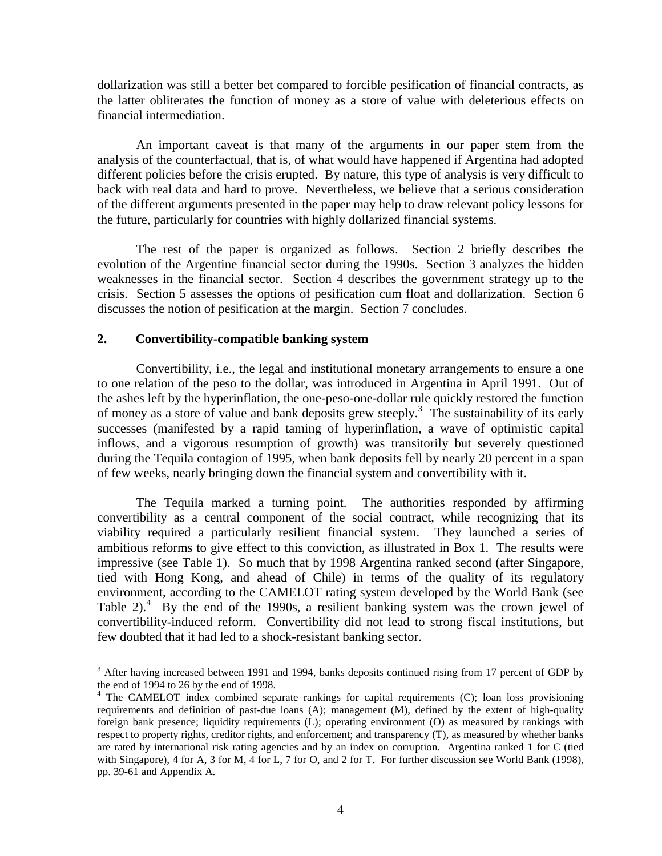dollarization was still a better bet compared to forcible pesification of financial contracts, as the latter obliterates the function of money as a store of value with deleterious effects on financial intermediation.

An important caveat is that many of the arguments in our paper stem from the analysis of the counterfactual, that is, of what would have happened if Argentina had adopted different policies before the crisis erupted. By nature, this type of analysis is very difficult to back with real data and hard to prove. Nevertheless, we believe that a serious consideration of the different arguments presented in the paper may help to draw relevant policy lessons for the future, particularly for countries with highly dollarized financial systems.

The rest of the paper is organized as follows. Section 2 briefly describes the evolution of the Argentine financial sector during the 1990s. Section 3 analyzes the hidden weaknesses in the financial sector. Section 4 describes the government strategy up to the crisis. Section 5 assesses the options of pesification cum float and dollarization. Section 6 discusses the notion of pesification at the margin. Section 7 concludes.

## **2. Convertibility-compatible banking system**

<u>.</u>

Convertibility, i.e., the legal and institutional monetary arrangements to ensure a one to one relation of the peso to the dollar, was introduced in Argentina in April 1991. Out of the ashes left by the hyperinflation, the one-peso-one-dollar rule quickly restored the function of money as a store of value and bank deposits grew steeply.<sup>3</sup> The sustainability of its early successes (manifested by a rapid taming of hyperinflation, a wave of optimistic capital inflows, and a vigorous resumption of growth) was transitorily but severely questioned during the Tequila contagion of 1995, when bank deposits fell by nearly 20 percent in a span of few weeks, nearly bringing down the financial system and convertibility with it.

The Tequila marked a turning point. The authorities responded by affirming convertibility as a central component of the social contract, while recognizing that its viability required a particularly resilient financial system. They launched a series of ambitious reforms to give effect to this conviction, as illustrated in Box 1. The results were impressive (see Table 1). So much that by 1998 Argentina ranked second (after Singapore, tied with Hong Kong, and ahead of Chile) in terms of the quality of its regulatory environment, according to the CAMELOT rating system developed by the World Bank (see Table  $2$ ).<sup>4</sup> By the end of the 1990s, a resilient banking system was the crown jewel of convertibility-induced reform. Convertibility did not lead to strong fiscal institutions, but few doubted that it had led to a shock-resistant banking sector.

<sup>&</sup>lt;sup>3</sup> After having increased between 1991 and 1994, banks deposits continued rising from 17 percent of GDP by the end of 1994 to 26 by the end of 1998.

<sup>&</sup>lt;sup>4</sup> The CAMELOT index combined separate rankings for capital requirements (C); loan loss provisioning requirements and definition of past-due loans (A); management (M), defined by the extent of high-quality foreign bank presence; liquidity requirements (L); operating environment (O) as measured by rankings with respect to property rights, creditor rights, and enforcement; and transparency (T), as measured by whether banks are rated by international risk rating agencies and by an index on corruption. Argentina ranked 1 for C (tied with Singapore), 4 for A, 3 for M, 4 for L, 7 for O, and 2 for T. For further discussion see World Bank (1998), pp. 39-61 and Appendix A.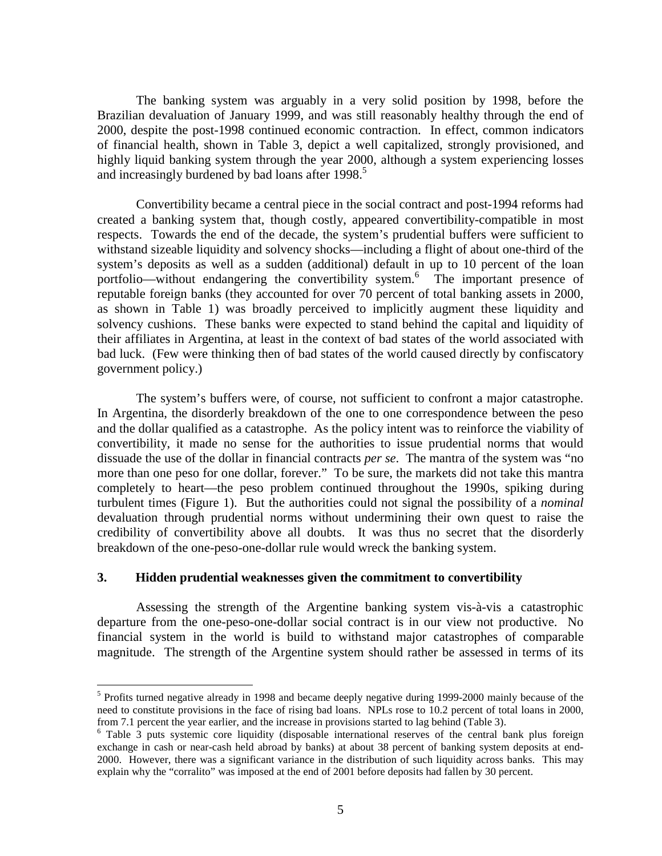The banking system was arguably in a very solid position by 1998, before the Brazilian devaluation of January 1999, and was still reasonably healthy through the end of 2000, despite the post-1998 continued economic contraction. In effect, common indicators of financial health, shown in Table 3, depict a well capitalized, strongly provisioned, and highly liquid banking system through the year 2000, although a system experiencing losses and increasingly burdened by bad loans after 1998.<sup>5</sup>

Convertibility became a central piece in the social contract and post-1994 reforms had created a banking system that, though costly, appeared convertibility-compatible in most respects. Towards the end of the decade, the system's prudential buffers were sufficient to withstand sizeable liquidity and solvency shocks—including a flight of about one-third of the system's deposits as well as a sudden (additional) default in up to 10 percent of the loan portfolio—without endangering the convertibility system.<sup>6</sup> The important presence of reputable foreign banks (they accounted for over 70 percent of total banking assets in 2000, as shown in Table 1) was broadly perceived to implicitly augment these liquidity and solvency cushions. These banks were expected to stand behind the capital and liquidity of their affiliates in Argentina, at least in the context of bad states of the world associated with bad luck. (Few were thinking then of bad states of the world caused directly by confiscatory government policy.)

The system's buffers were, of course, not sufficient to confront a major catastrophe. In Argentina, the disorderly breakdown of the one to one correspondence between the peso and the dollar qualified as a catastrophe. As the policy intent was to reinforce the viability of convertibility, it made no sense for the authorities to issue prudential norms that would dissuade the use of the dollar in financial contracts *per se*. The mantra of the system was "no more than one peso for one dollar, forever." To be sure, the markets did not take this mantra completely to heart—the peso problem continued throughout the 1990s, spiking during turbulent times (Figure 1). But the authorities could not signal the possibility of a *nominal* devaluation through prudential norms without undermining their own quest to raise the credibility of convertibility above all doubts. It was thus no secret that the disorderly breakdown of the one-peso-one-dollar rule would wreck the banking system.

### **3. Hidden prudential weaknesses given the commitment to convertibility**

<u>.</u>

Assessing the strength of the Argentine banking system vis-à-vis a catastrophic departure from the one-peso-one-dollar social contract is in our view not productive. No financial system in the world is build to withstand major catastrophes of comparable magnitude. The strength of the Argentine system should rather be assessed in terms of its

<sup>&</sup>lt;sup>5</sup> Profits turned negative already in 1998 and became deeply negative during 1999-2000 mainly because of the need to constitute provisions in the face of rising bad loans. NPLs rose to 10.2 percent of total loans in 2000, from 7.1 percent the year earlier, and the increase in provisions started to lag behind (Table 3).

<sup>&</sup>lt;sup>6</sup> Table 3 puts systemic core liquidity (disposable international reserves of the central bank plus foreign exchange in cash or near-cash held abroad by banks) at about 38 percent of banking system deposits at end-2000. However, there was a significant variance in the distribution of such liquidity across banks. This may explain why the "corralito" was imposed at the end of 2001 before deposits had fallen by 30 percent.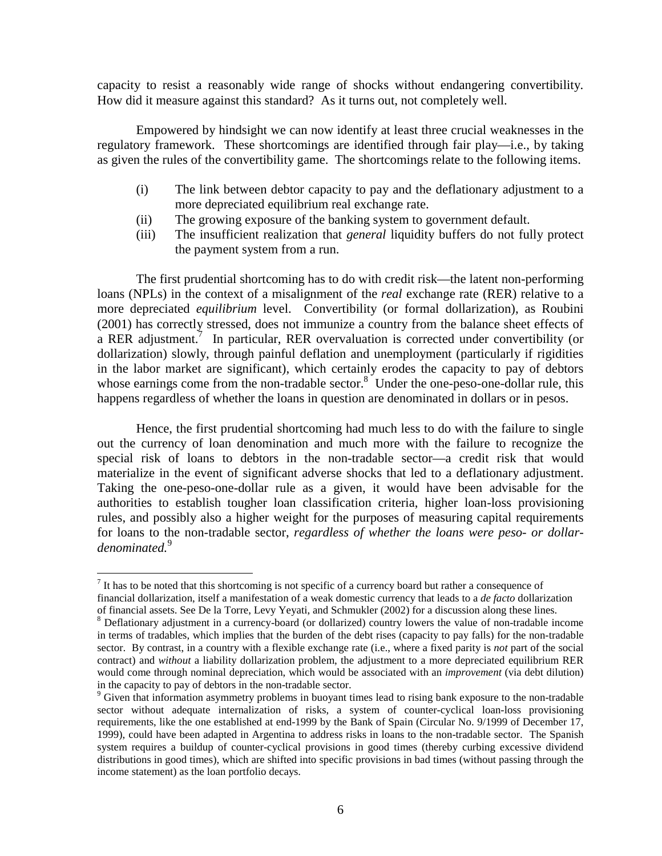capacity to resist a reasonably wide range of shocks without endangering convertibility. How did it measure against this standard? As it turns out, not completely well.

Empowered by hindsight we can now identify at least three crucial weaknesses in the regulatory framework. These shortcomings are identified through fair play—i.e., by taking as given the rules of the convertibility game. The shortcomings relate to the following items.

- (i) The link between debtor capacity to pay and the deflationary adjustment to a more depreciated equilibrium real exchange rate.
- (ii) The growing exposure of the banking system to government default.
- (iii) The insufficient realization that *general* liquidity buffers do not fully protect the payment system from a run.

The first prudential shortcoming has to do with credit risk—the latent non-performing loans (NPLs) in the context of a misalignment of the *real* exchange rate (RER) relative to a more depreciated *equilibrium* level. Convertibility (or formal dollarization), as Roubini (2001) has correctly stressed, does not immunize a country from the balance sheet effects of a RER adjustment.<sup>7</sup> In particular, RER overvaluation is corrected under convertibility (or dollarization) slowly, through painful deflation and unemployment (particularly if rigidities in the labor market are significant), which certainly erodes the capacity to pay of debtors whose earnings come from the non-tradable sector.<sup>8</sup> Under the one-peso-one-dollar rule, this happens regardless of whether the loans in question are denominated in dollars or in pesos.

Hence, the first prudential shortcoming had much less to do with the failure to single out the currency of loan denomination and much more with the failure to recognize the special risk of loans to debtors in the non-tradable sector—a credit risk that would materialize in the event of significant adverse shocks that led to a deflationary adjustment. Taking the one-peso-one-dollar rule as a given, it would have been advisable for the authorities to establish tougher loan classification criteria, higher loan-loss provisioning rules, and possibly also a higher weight for the purposes of measuring capital requirements for loans to the non-tradable sector, *regardless of whether the loans were peso- or dollardenominated.*<sup>9</sup>

-

 $<sup>7</sup>$  It has to be noted that this shortcoming is not specific of a currency board but rather a consequence of</sup> financial dollarization, itself a manifestation of a weak domestic currency that leads to a *de facto* dollarization of financial assets. See De la Torre, Levy Yeyati, and Schmukler (2002) for a discussion along these lines.

<sup>&</sup>lt;sup>8</sup> Deflationary adjustment in a currency-board (or dollarized) country lowers the value of non-tradable income in terms of tradables, which implies that the burden of the debt rises (capacity to pay falls) for the non-tradable sector. By contrast, in a country with a flexible exchange rate (i.e., where a fixed parity is *not* part of the social contract) and *without* a liability dollarization problem, the adjustment to a more depreciated equilibrium RER would come through nominal depreciation, which would be associated with an *improvement* (via debt dilution) in the capacity to pay of debtors in the non-tradable sector.

<sup>&</sup>lt;sup>9</sup> Given that information asymmetry problems in buoyant times lead to rising bank exposure to the non-tradable sector without adequate internalization of risks, a system of counter-cyclical loan-loss provisioning requirements, like the one established at end-1999 by the Bank of Spain (Circular No. 9/1999 of December 17, 1999), could have been adapted in Argentina to address risks in loans to the non-tradable sector. The Spanish system requires a buildup of counter-cyclical provisions in good times (thereby curbing excessive dividend distributions in good times), which are shifted into specific provisions in bad times (without passing through the income statement) as the loan portfolio decays.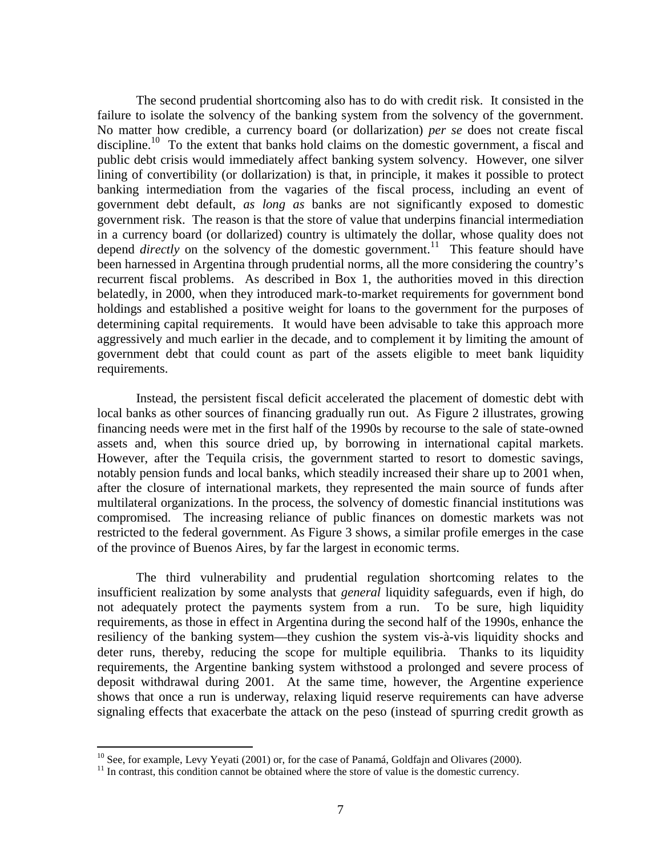The second prudential shortcoming also has to do with credit risk. It consisted in the failure to isolate the solvency of the banking system from the solvency of the government. No matter how credible, a currency board (or dollarization) *per se* does not create fiscal discipline.<sup>10</sup> To the extent that banks hold claims on the domestic government, a fiscal and public debt crisis would immediately affect banking system solvency. However, one silver lining of convertibility (or dollarization) is that, in principle, it makes it possible to protect banking intermediation from the vagaries of the fiscal process, including an event of government debt default, *as long as* banks are not significantly exposed to domestic government risk. The reason is that the store of value that underpins financial intermediation in a currency board (or dollarized) country is ultimately the dollar, whose quality does not depend *directly* on the solvency of the domestic government.<sup>11</sup> This feature should have been harnessed in Argentina through prudential norms, all the more considering the country's recurrent fiscal problems. As described in Box 1, the authorities moved in this direction belatedly, in 2000, when they introduced mark-to-market requirements for government bond holdings and established a positive weight for loans to the government for the purposes of determining capital requirements. It would have been advisable to take this approach more aggressively and much earlier in the decade, and to complement it by limiting the amount of government debt that could count as part of the assets eligible to meet bank liquidity requirements.

Instead, the persistent fiscal deficit accelerated the placement of domestic debt with local banks as other sources of financing gradually run out. As Figure 2 illustrates, growing financing needs were met in the first half of the 1990s by recourse to the sale of state-owned assets and, when this source dried up, by borrowing in international capital markets. However, after the Tequila crisis, the government started to resort to domestic savings, notably pension funds and local banks, which steadily increased their share up to 2001 when, after the closure of international markets, they represented the main source of funds after multilateral organizations. In the process, the solvency of domestic financial institutions was compromised. The increasing reliance of public finances on domestic markets was not restricted to the federal government. As Figure 3 shows, a similar profile emerges in the case of the province of Buenos Aires, by far the largest in economic terms.

The third vulnerability and prudential regulation shortcoming relates to the insufficient realization by some analysts that *general* liquidity safeguards, even if high, do not adequately protect the payments system from a run. To be sure, high liquidity requirements, as those in effect in Argentina during the second half of the 1990s, enhance the resiliency of the banking system—they cushion the system vis-à-vis liquidity shocks and deter runs, thereby, reducing the scope for multiple equilibria. Thanks to its liquidity requirements, the Argentine banking system withstood a prolonged and severe process of deposit withdrawal during 2001. At the same time, however, the Argentine experience shows that once a run is underway, relaxing liquid reserve requirements can have adverse signaling effects that exacerbate the attack on the peso (instead of spurring credit growth as

-

 $10$  See, for example, Levy Yeyati (2001) or, for the case of Panamá, Goldfajn and Olivares (2000).

 $<sup>11</sup>$  In contrast, this condition cannot be obtained where the store of value is the domestic currency.</sup>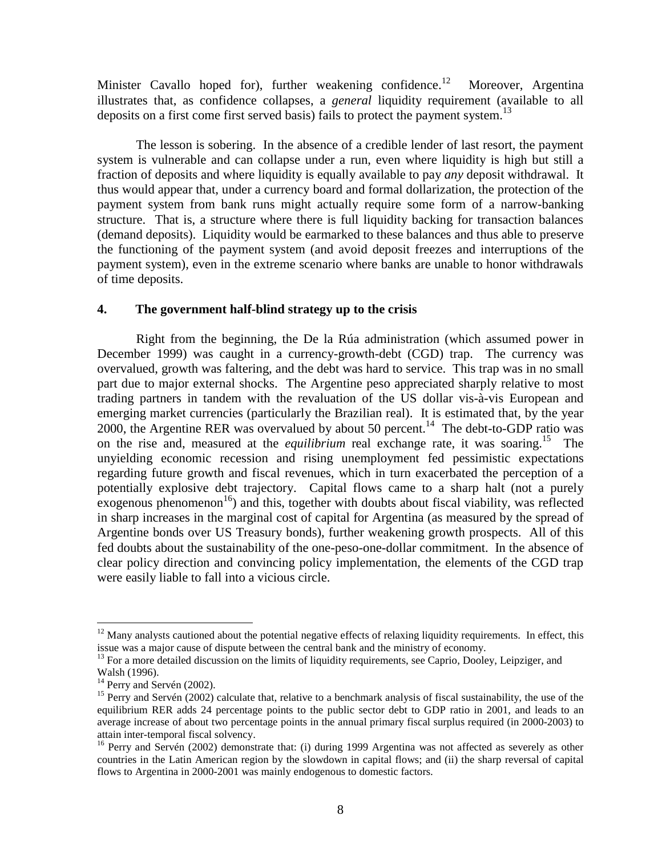Minister Cavallo hoped for), further weakening confidence.<sup>12</sup> Moreover, Argentina illustrates that, as confidence collapses, a *general* liquidity requirement (available to all deposits on a first come first served basis) fails to protect the payment system.<sup>13</sup>

The lesson is sobering. In the absence of a credible lender of last resort, the payment system is vulnerable and can collapse under a run, even where liquidity is high but still a fraction of deposits and where liquidity is equally available to pay *any* deposit withdrawal. It thus would appear that, under a currency board and formal dollarization, the protection of the payment system from bank runs might actually require some form of a narrow-banking structure. That is, a structure where there is full liquidity backing for transaction balances (demand deposits). Liquidity would be earmarked to these balances and thus able to preserve the functioning of the payment system (and avoid deposit freezes and interruptions of the payment system), even in the extreme scenario where banks are unable to honor withdrawals of time deposits.

## **4. The government half-blind strategy up to the crisis**

Right from the beginning, the De la Rúa administration (which assumed power in December 1999) was caught in a currency-growth-debt (CGD) trap. The currency was overvalued, growth was faltering, and the debt was hard to service. This trap was in no small part due to major external shocks. The Argentine peso appreciated sharply relative to most trading partners in tandem with the revaluation of the US dollar vis-à-vis European and emerging market currencies (particularly the Brazilian real). It is estimated that, by the year 2000, the Argentine RER was overvalued by about 50 percent.<sup>14</sup> The debt-to-GDP ratio was on the rise and, measured at the *equilibrium* real exchange rate, it was soaring.<sup>15</sup> The unyielding economic recession and rising unemployment fed pessimistic expectations regarding future growth and fiscal revenues, which in turn exacerbated the perception of a potentially explosive debt trajectory. Capital flows came to a sharp halt (not a purely exogenous phenomenon<sup>16</sup>) and this, together with doubts about fiscal viability, was reflected in sharp increases in the marginal cost of capital for Argentina (as measured by the spread of Argentine bonds over US Treasury bonds), further weakening growth prospects. All of this fed doubts about the sustainability of the one-peso-one-dollar commitment. In the absence of clear policy direction and convincing policy implementation, the elements of the CGD trap were easily liable to fall into a vicious circle.

<u>.</u>

 $12$  Many analysts cautioned about the potential negative effects of relaxing liquidity requirements. In effect, this issue was a major cause of dispute between the central bank and the ministry of economy.

<sup>&</sup>lt;sup>13</sup> For a more detailed discussion on the limits of liquidity requirements, see Caprio, Dooley, Leipziger, and Walsh (1996).

 $14$  Perry and Servén (2002).

 $15$  Perry and Servén (2002) calculate that, relative to a benchmark analysis of fiscal sustainability, the use of the equilibrium RER adds 24 percentage points to the public sector debt to GDP ratio in 2001, and leads to an average increase of about two percentage points in the annual primary fiscal surplus required (in 2000-2003) to attain inter-temporal fiscal solvency.

<sup>&</sup>lt;sup>16</sup> Perry and Servén (2002) demonstrate that: (i) during 1999 Argentina was not affected as severely as other countries in the Latin American region by the slowdown in capital flows; and (ii) the sharp reversal of capital flows to Argentina in 2000-2001 was mainly endogenous to domestic factors.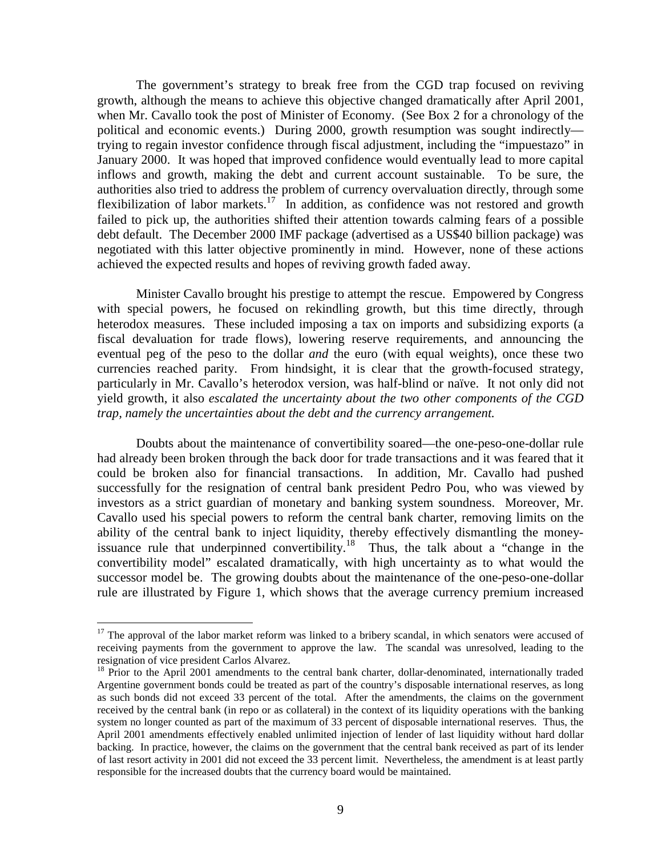The government's strategy to break free from the CGD trap focused on reviving growth, although the means to achieve this objective changed dramatically after April 2001, when Mr. Cavallo took the post of Minister of Economy. (See Box 2 for a chronology of the political and economic events.) During 2000, growth resumption was sought indirectly trying to regain investor confidence through fiscal adjustment, including the "impuestazo" in January 2000. It was hoped that improved confidence would eventually lead to more capital inflows and growth, making the debt and current account sustainable. To be sure, the authorities also tried to address the problem of currency overvaluation directly, through some flexibilization of labor markets.<sup>17</sup> In addition, as confidence was not restored and growth failed to pick up, the authorities shifted their attention towards calming fears of a possible debt default. The December 2000 IMF package (advertised as a US\$40 billion package) was negotiated with this latter objective prominently in mind. However, none of these actions achieved the expected results and hopes of reviving growth faded away.

Minister Cavallo brought his prestige to attempt the rescue. Empowered by Congress with special powers, he focused on rekindling growth, but this time directly, through heterodox measures. These included imposing a tax on imports and subsidizing exports (a fiscal devaluation for trade flows), lowering reserve requirements, and announcing the eventual peg of the peso to the dollar *and* the euro (with equal weights), once these two currencies reached parity. From hindsight, it is clear that the growth-focused strategy, particularly in Mr. Cavallo's heterodox version, was half-blind or naïve. It not only did not yield growth, it also *escalated the uncertainty about the two other components of the CGD trap, namely the uncertainties about the debt and the currency arrangement.*

Doubts about the maintenance of convertibility soared—the one-peso-one-dollar rule had already been broken through the back door for trade transactions and it was feared that it could be broken also for financial transactions. In addition, Mr. Cavallo had pushed successfully for the resignation of central bank president Pedro Pou, who was viewed by investors as a strict guardian of monetary and banking system soundness. Moreover, Mr. Cavallo used his special powers to reform the central bank charter, removing limits on the ability of the central bank to inject liquidity, thereby effectively dismantling the moneyissuance rule that underpinned convertibility.<sup>18</sup> Thus, the talk about a "change in the convertibility model" escalated dramatically, with high uncertainty as to what would the successor model be. The growing doubts about the maintenance of the one-peso-one-dollar rule are illustrated by Figure 1, which shows that the average currency premium increased

<u>.</u>

<sup>&</sup>lt;sup>17</sup> The approval of the labor market reform was linked to a bribery scandal, in which senators were accused of receiving payments from the government to approve the law. The scandal was unresolved, leading to the resignation of vice president Carlos Alvarez.

<sup>&</sup>lt;sup>18</sup> Prior to the April 2001 amendments to the central bank charter, dollar-denominated, internationally traded Argentine government bonds could be treated as part of the country's disposable international reserves, as long as such bonds did not exceed 33 percent of the total. After the amendments, the claims on the government received by the central bank (in repo or as collateral) in the context of its liquidity operations with the banking system no longer counted as part of the maximum of 33 percent of disposable international reserves. Thus, the April 2001 amendments effectively enabled unlimited injection of lender of last liquidity without hard dollar backing. In practice, however, the claims on the government that the central bank received as part of its lender of last resort activity in 2001 did not exceed the 33 percent limit. Nevertheless, the amendment is at least partly responsible for the increased doubts that the currency board would be maintained.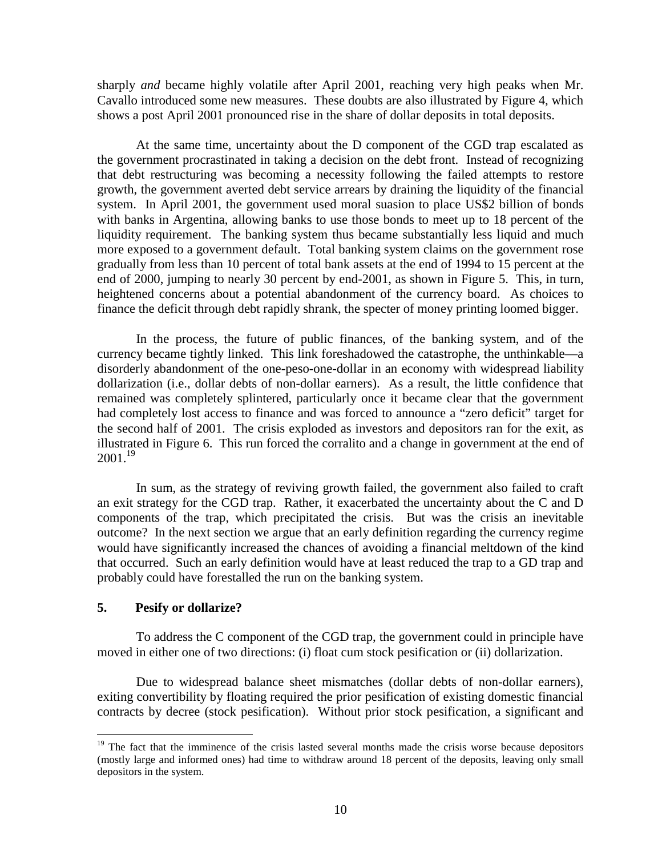sharply *and* became highly volatile after April 2001, reaching very high peaks when Mr. Cavallo introduced some new measures. These doubts are also illustrated by Figure 4, which shows a post April 2001 pronounced rise in the share of dollar deposits in total deposits.

At the same time, uncertainty about the D component of the CGD trap escalated as the government procrastinated in taking a decision on the debt front. Instead of recognizing that debt restructuring was becoming a necessity following the failed attempts to restore growth, the government averted debt service arrears by draining the liquidity of the financial system. In April 2001, the government used moral suasion to place US\$2 billion of bonds with banks in Argentina, allowing banks to use those bonds to meet up to 18 percent of the liquidity requirement. The banking system thus became substantially less liquid and much more exposed to a government default. Total banking system claims on the government rose gradually from less than 10 percent of total bank assets at the end of 1994 to 15 percent at the end of 2000, jumping to nearly 30 percent by end-2001, as shown in Figure 5. This, in turn, heightened concerns about a potential abandonment of the currency board. As choices to finance the deficit through debt rapidly shrank, the specter of money printing loomed bigger.

In the process, the future of public finances, of the banking system, and of the currency became tightly linked. This link foreshadowed the catastrophe, the unthinkable—a disorderly abandonment of the one-peso-one-dollar in an economy with widespread liability dollarization (i.e., dollar debts of non-dollar earners). As a result, the little confidence that remained was completely splintered, particularly once it became clear that the government had completely lost access to finance and was forced to announce a "zero deficit" target for the second half of 2001. The crisis exploded as investors and depositors ran for the exit, as illustrated in Figure 6. This run forced the corralito and a change in government at the end of  $2001.^{19}$ 

In sum, as the strategy of reviving growth failed, the government also failed to craft an exit strategy for the CGD trap. Rather, it exacerbated the uncertainty about the C and D components of the trap, which precipitated the crisis. But was the crisis an inevitable outcome? In the next section we argue that an early definition regarding the currency regime would have significantly increased the chances of avoiding a financial meltdown of the kind that occurred. Such an early definition would have at least reduced the trap to a GD trap and probably could have forestalled the run on the banking system.

## **5. Pesify or dollarize?**

<u>.</u>

To address the C component of the CGD trap, the government could in principle have moved in either one of two directions: (i) float cum stock pesification or (ii) dollarization.

Due to widespread balance sheet mismatches (dollar debts of non-dollar earners), exiting convertibility by floating required the prior pesification of existing domestic financial contracts by decree (stock pesification). Without prior stock pesification, a significant and

<sup>&</sup>lt;sup>19</sup> The fact that the imminence of the crisis lasted several months made the crisis worse because depositors (mostly large and informed ones) had time to withdraw around 18 percent of the deposits, leaving only small depositors in the system.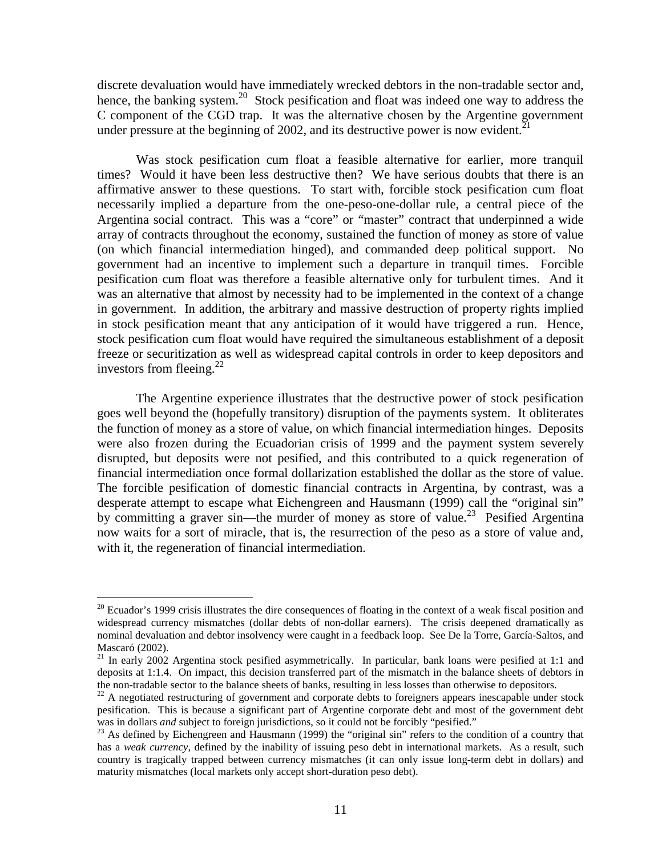discrete devaluation would have immediately wrecked debtors in the non-tradable sector and, hence, the banking system.<sup>20</sup> Stock pesification and float was indeed one way to address the C component of the CGD trap. It was the alternative chosen by the Argentine government under pressure at the beginning of 2002, and its destructive power is now evident.<sup>21</sup>

Was stock pesification cum float a feasible alternative for earlier, more tranquil times? Would it have been less destructive then? We have serious doubts that there is an affirmative answer to these questions. To start with, forcible stock pesification cum float necessarily implied a departure from the one-peso-one-dollar rule, a central piece of the Argentina social contract. This was a "core" or "master" contract that underpinned a wide array of contracts throughout the economy, sustained the function of money as store of value (on which financial intermediation hinged), and commanded deep political support. No government had an incentive to implement such a departure in tranquil times. Forcible pesification cum float was therefore a feasible alternative only for turbulent times. And it was an alternative that almost by necessity had to be implemented in the context of a change in government. In addition, the arbitrary and massive destruction of property rights implied in stock pesification meant that any anticipation of it would have triggered a run. Hence, stock pesification cum float would have required the simultaneous establishment of a deposit freeze or securitization as well as widespread capital controls in order to keep depositors and investors from fleeing. $^{22}$ 

The Argentine experience illustrates that the destructive power of stock pesification goes well beyond the (hopefully transitory) disruption of the payments system. It obliterates the function of money as a store of value, on which financial intermediation hinges. Deposits were also frozen during the Ecuadorian crisis of 1999 and the payment system severely disrupted, but deposits were not pesified, and this contributed to a quick regeneration of financial intermediation once formal dollarization established the dollar as the store of value. The forcible pesification of domestic financial contracts in Argentina, by contrast, was a desperate attempt to escape what Eichengreen and Hausmann (1999) call the "original sin" by committing a graver sin—the murder of money as store of value.<sup>23</sup> Pesified Argentina now waits for a sort of miracle, that is, the resurrection of the peso as a store of value and, with it, the regeneration of financial intermediation.

-

 $20$  Ecuador's 1999 crisis illustrates the dire consequences of floating in the context of a weak fiscal position and widespread currency mismatches (dollar debts of non-dollar earners). The crisis deepened dramatically as nominal devaluation and debtor insolvency were caught in a feedback loop. See De la Torre, García-Saltos, and Mascaró (2002).

 $21$  In early 2002 Argentina stock pesified asymmetrically. In particular, bank loans were pesified at 1:1 and deposits at 1:1.4. On impact, this decision transferred part of the mismatch in the balance sheets of debtors in the non-tradable sector to the balance sheets of banks, resulting in less losses than otherwise to depositors.

 $^{22}$  A negotiated restructuring of government and corporate debts to foreigners appears inescapable under stock pesification. This is because a significant part of Argentine corporate debt and most of the government debt was in dollars *and* subject to foreign jurisdictions, so it could not be forcibly "pesified."

<sup>&</sup>lt;sup>23</sup> As defined by Eichengreen and Hausmann (1999) the "original sin" refers to the condition of a country that has a *weak currency*, defined by the inability of issuing peso debt in international markets. As a result, such country is tragically trapped between currency mismatches (it can only issue long-term debt in dollars) and maturity mismatches (local markets only accept short-duration peso debt).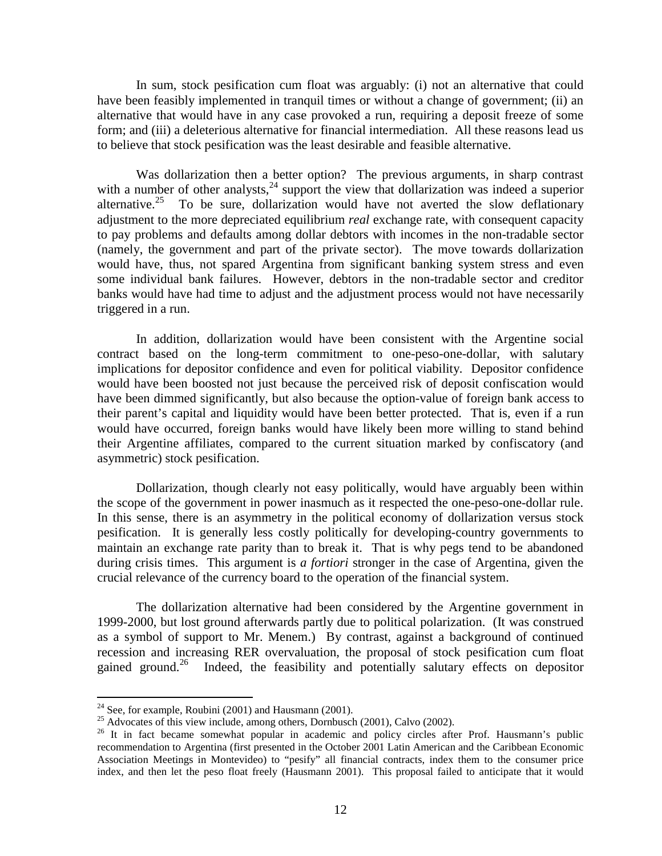In sum, stock pesification cum float was arguably: (i) not an alternative that could have been feasibly implemented in tranquil times or without a change of government; (ii) an alternative that would have in any case provoked a run, requiring a deposit freeze of some form; and (iii) a deleterious alternative for financial intermediation. All these reasons lead us to believe that stock pesification was the least desirable and feasible alternative.

Was dollarization then a better option? The previous arguments, in sharp contrast with a number of other analysts,  $24$  support the view that dollarization was indeed a superior alternative.<sup>25</sup> To be sure, dollarization would have not averted the slow deflationary adjustment to the more depreciated equilibrium *real* exchange rate, with consequent capacity to pay problems and defaults among dollar debtors with incomes in the non-tradable sector (namely, the government and part of the private sector). The move towards dollarization would have, thus, not spared Argentina from significant banking system stress and even some individual bank failures. However, debtors in the non-tradable sector and creditor banks would have had time to adjust and the adjustment process would not have necessarily triggered in a run.

In addition, dollarization would have been consistent with the Argentine social contract based on the long-term commitment to one-peso-one-dollar, with salutary implications for depositor confidence and even for political viability. Depositor confidence would have been boosted not just because the perceived risk of deposit confiscation would have been dimmed significantly, but also because the option-value of foreign bank access to their parent's capital and liquidity would have been better protected. That is, even if a run would have occurred, foreign banks would have likely been more willing to stand behind their Argentine affiliates, compared to the current situation marked by confiscatory (and asymmetric) stock pesification.

Dollarization, though clearly not easy politically, would have arguably been within the scope of the government in power inasmuch as it respected the one-peso-one-dollar rule. In this sense, there is an asymmetry in the political economy of dollarization versus stock pesification. It is generally less costly politically for developing-country governments to maintain an exchange rate parity than to break it. That is why pegs tend to be abandoned during crisis times. This argument is *a fortiori* stronger in the case of Argentina, given the crucial relevance of the currency board to the operation of the financial system.

The dollarization alternative had been considered by the Argentine government in 1999-2000, but lost ground afterwards partly due to political polarization. (It was construed as a symbol of support to Mr. Menem.) By contrast, against a background of continued recession and increasing RER overvaluation, the proposal of stock pesification cum float gained ground.<sup>26</sup> Indeed, the feasibility and potentially salutary effects on depositor

<u>.</u>

 $24$  See, for example, Roubini (2001) and Hausmann (2001).

<sup>&</sup>lt;sup>25</sup> Advocates of this view include, among others, Dornbusch (2001), Calvo (2002).

<sup>&</sup>lt;sup>26</sup> It in fact became somewhat popular in academic and policy circles after Prof. Hausmann's public recommendation to Argentina (first presented in the October 2001 Latin American and the Caribbean Economic Association Meetings in Montevideo) to "pesify" all financial contracts, index them to the consumer price index, and then let the peso float freely (Hausmann 2001). This proposal failed to anticipate that it would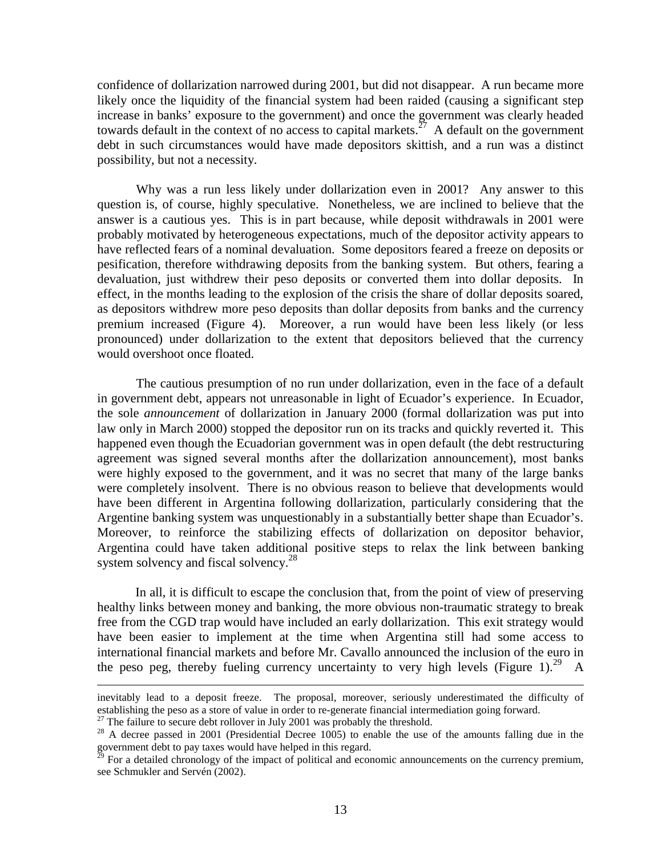confidence of dollarization narrowed during 2001, but did not disappear. A run became more likely once the liquidity of the financial system had been raided (causing a significant step increase in banks' exposure to the government) and once the government was clearly headed towards default in the context of no access to capital markets.<sup>27</sup> A default on the government debt in such circumstances would have made depositors skittish, and a run was a distinct possibility, but not a necessity.

Why was a run less likely under dollarization even in 2001? Any answer to this question is, of course, highly speculative. Nonetheless, we are inclined to believe that the answer is a cautious yes. This is in part because, while deposit withdrawals in 2001 were probably motivated by heterogeneous expectations, much of the depositor activity appears to have reflected fears of a nominal devaluation. Some depositors feared a freeze on deposits or pesification, therefore withdrawing deposits from the banking system. But others, fearing a devaluation, just withdrew their peso deposits or converted them into dollar deposits. In effect, in the months leading to the explosion of the crisis the share of dollar deposits soared, as depositors withdrew more peso deposits than dollar deposits from banks and the currency premium increased (Figure 4). Moreover, a run would have been less likely (or less pronounced) under dollarization to the extent that depositors believed that the currency would overshoot once floated.

The cautious presumption of no run under dollarization, even in the face of a default in government debt, appears not unreasonable in light of Ecuador's experience. In Ecuador, the sole *announcement* of dollarization in January 2000 (formal dollarization was put into law only in March 2000) stopped the depositor run on its tracks and quickly reverted it. This happened even though the Ecuadorian government was in open default (the debt restructuring agreement was signed several months after the dollarization announcement), most banks were highly exposed to the government, and it was no secret that many of the large banks were completely insolvent. There is no obvious reason to believe that developments would have been different in Argentina following dollarization, particularly considering that the Argentine banking system was unquestionably in a substantially better shape than Ecuador's. Moreover, to reinforce the stabilizing effects of dollarization on depositor behavior, Argentina could have taken additional positive steps to relax the link between banking system solvency and fiscal solvency.<sup>28</sup>

In all, it is difficult to escape the conclusion that, from the point of view of preserving healthy links between money and banking, the more obvious non-traumatic strategy to break free from the CGD trap would have included an early dollarization. This exit strategy would have been easier to implement at the time when Argentina still had some access to international financial markets and before Mr. Cavallo announced the inclusion of the euro in the peso peg, thereby fueling currency uncertainty to very high levels (Figure 1).<sup>29</sup> A

 $\overline{a}$ 

inevitably lead to a deposit freeze. The proposal, moreover, seriously underestimated the difficulty of establishing the peso as a store of value in order to re-generate financial intermediation going forward.

 $27$  The failure to secure debt rollover in July 2001 was probably the threshold.

<sup>&</sup>lt;sup>28</sup> A decree passed in 2001 (Presidential Decree 1005) to enable the use of the amounts falling due in the government debt to pay taxes would have helped in this regard.

 $^{29}$  For a detailed chronology of the impact of political and economic announcements on the currency premium, see Schmukler and Servén (2002).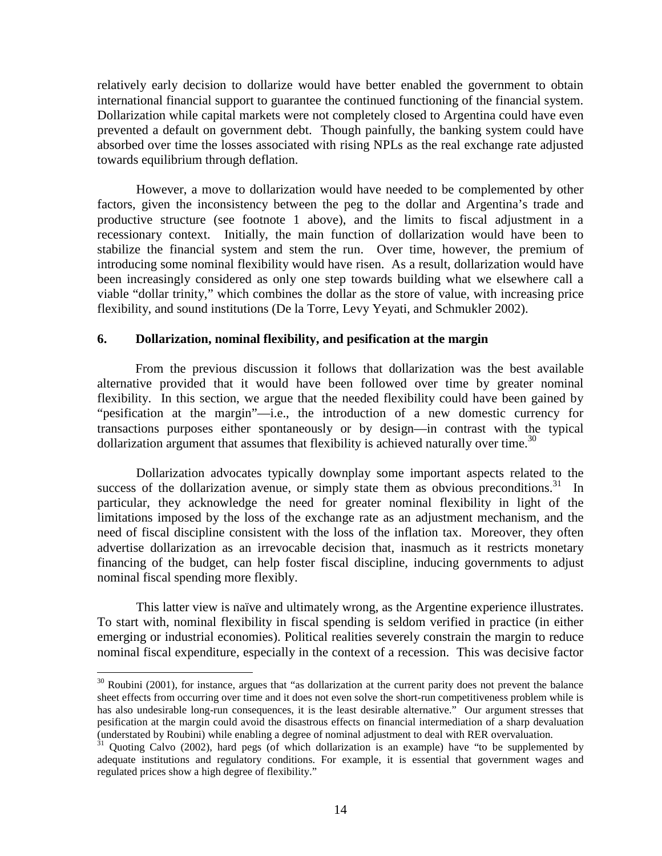relatively early decision to dollarize would have better enabled the government to obtain international financial support to guarantee the continued functioning of the financial system. Dollarization while capital markets were not completely closed to Argentina could have even prevented a default on government debt. Though painfully, the banking system could have absorbed over time the losses associated with rising NPLs as the real exchange rate adjusted towards equilibrium through deflation.

However, a move to dollarization would have needed to be complemented by other factors, given the inconsistency between the peg to the dollar and Argentina's trade and productive structure (see footnote 1 above), and the limits to fiscal adjustment in a recessionary context. Initially, the main function of dollarization would have been to stabilize the financial system and stem the run. Over time, however, the premium of introducing some nominal flexibility would have risen. As a result, dollarization would have been increasingly considered as only one step towards building what we elsewhere call a viable "dollar trinity," which combines the dollar as the store of value, with increasing price flexibility, and sound institutions (De la Torre, Levy Yeyati, and Schmukler 2002).

# **6. Dollarization, nominal flexibility, and pesification at the margin**

From the previous discussion it follows that dollarization was the best available alternative provided that it would have been followed over time by greater nominal flexibility. In this section, we argue that the needed flexibility could have been gained by "pesification at the margin"—i.e., the introduction of a new domestic currency for transactions purposes either spontaneously or by design—in contrast with the typical dollarization argument that assumes that flexibility is achieved naturally over time.<sup>30</sup>

Dollarization advocates typically downplay some important aspects related to the success of the dollarization avenue, or simply state them as obvious preconditions.<sup>31</sup> In particular, they acknowledge the need for greater nominal flexibility in light of the limitations imposed by the loss of the exchange rate as an adjustment mechanism, and the need of fiscal discipline consistent with the loss of the inflation tax. Moreover, they often advertise dollarization as an irrevocable decision that, inasmuch as it restricts monetary financing of the budget, can help foster fiscal discipline, inducing governments to adjust nominal fiscal spending more flexibly.

This latter view is naïve and ultimately wrong, as the Argentine experience illustrates. To start with, nominal flexibility in fiscal spending is seldom verified in practice (in either emerging or industrial economies). Political realities severely constrain the margin to reduce nominal fiscal expenditure, especially in the context of a recession. This was decisive factor

-

 $30$  Roubini (2001), for instance, argues that "as dollarization at the current parity does not prevent the balance sheet effects from occurring over time and it does not even solve the short-run competitiveness problem while is has also undesirable long-run consequences, it is the least desirable alternative." Our argument stresses that pesification at the margin could avoid the disastrous effects on financial intermediation of a sharp devaluation (understated by Roubini) while enabling a degree of nominal adjustment to deal with RER overvaluation.

 $31$  Quoting Calvo (2002), hard pegs (of which dollarization is an example) have "to be supplemented by adequate institutions and regulatory conditions. For example, it is essential that government wages and regulated prices show a high degree of flexibility."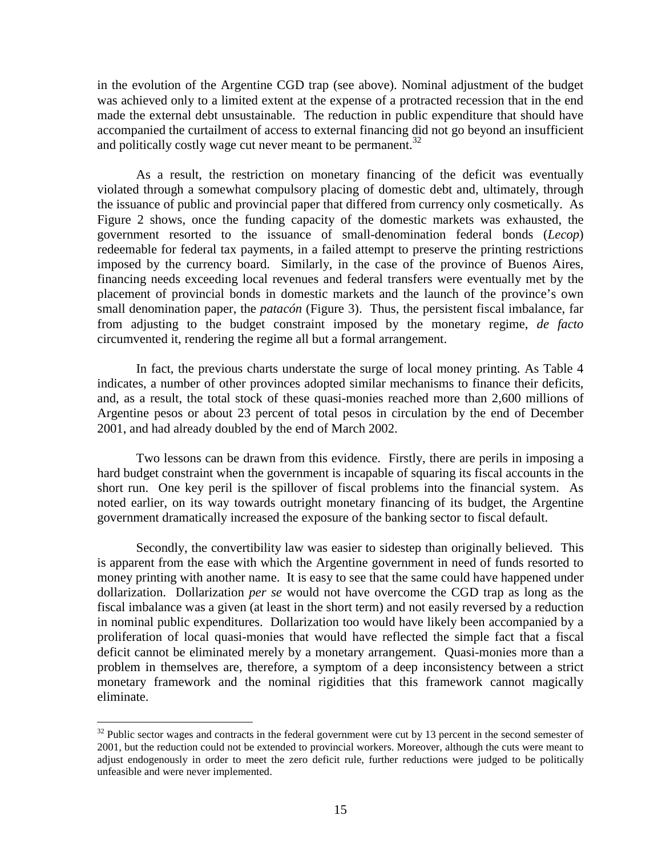in the evolution of the Argentine CGD trap (see above). Nominal adjustment of the budget was achieved only to a limited extent at the expense of a protracted recession that in the end made the external debt unsustainable. The reduction in public expenditure that should have accompanied the curtailment of access to external financing did not go beyond an insufficient and politically costly wage cut never meant to be permanent.<sup>32</sup>

As a result, the restriction on monetary financing of the deficit was eventually violated through a somewhat compulsory placing of domestic debt and, ultimately, through the issuance of public and provincial paper that differed from currency only cosmetically. As Figure 2 shows, once the funding capacity of the domestic markets was exhausted, the government resorted to the issuance of small-denomination federal bonds (*Lecop*) redeemable for federal tax payments, in a failed attempt to preserve the printing restrictions imposed by the currency board. Similarly, in the case of the province of Buenos Aires, financing needs exceeding local revenues and federal transfers were eventually met by the placement of provincial bonds in domestic markets and the launch of the province's own small denomination paper, the *patacón* (Figure 3). Thus, the persistent fiscal imbalance, far from adjusting to the budget constraint imposed by the monetary regime, *de facto* circumvented it, rendering the regime all but a formal arrangement.

In fact, the previous charts understate the surge of local money printing. As Table 4 indicates, a number of other provinces adopted similar mechanisms to finance their deficits, and, as a result, the total stock of these quasi-monies reached more than 2,600 millions of Argentine pesos or about 23 percent of total pesos in circulation by the end of December 2001, and had already doubled by the end of March 2002.

Two lessons can be drawn from this evidence. Firstly, there are perils in imposing a hard budget constraint when the government is incapable of squaring its fiscal accounts in the short run. One key peril is the spillover of fiscal problems into the financial system. As noted earlier, on its way towards outright monetary financing of its budget, the Argentine government dramatically increased the exposure of the banking sector to fiscal default.

Secondly, the convertibility law was easier to sidestep than originally believed. This is apparent from the ease with which the Argentine government in need of funds resorted to money printing with another name. It is easy to see that the same could have happened under dollarization. Dollarization *per se* would not have overcome the CGD trap as long as the fiscal imbalance was a given (at least in the short term) and not easily reversed by a reduction in nominal public expenditures. Dollarization too would have likely been accompanied by a proliferation of local quasi-monies that would have reflected the simple fact that a fiscal deficit cannot be eliminated merely by a monetary arrangement. Quasi-monies more than a problem in themselves are, therefore, a symptom of a deep inconsistency between a strict monetary framework and the nominal rigidities that this framework cannot magically eliminate.

-

 $32$  Public sector wages and contracts in the federal government were cut by 13 percent in the second semester of 2001, but the reduction could not be extended to provincial workers. Moreover, although the cuts were meant to adjust endogenously in order to meet the zero deficit rule, further reductions were judged to be politically unfeasible and were never implemented.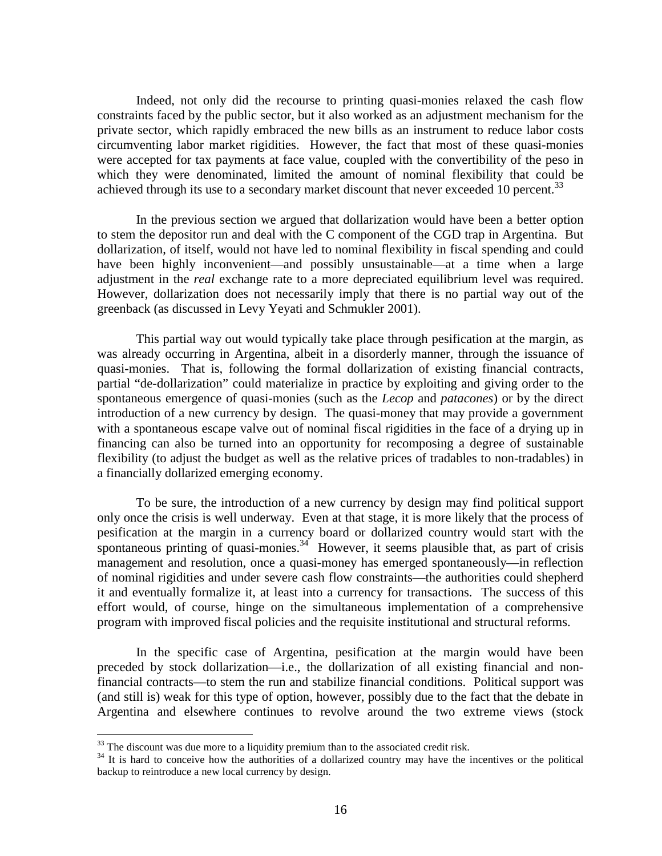Indeed, not only did the recourse to printing quasi-monies relaxed the cash flow constraints faced by the public sector, but it also worked as an adjustment mechanism for the private sector, which rapidly embraced the new bills as an instrument to reduce labor costs circumventing labor market rigidities. However, the fact that most of these quasi-monies were accepted for tax payments at face value, coupled with the convertibility of the peso in which they were denominated, limited the amount of nominal flexibility that could be achieved through its use to a secondary market discount that never exceeded 10 percent.<sup>33</sup>

In the previous section we argued that dollarization would have been a better option to stem the depositor run and deal with the C component of the CGD trap in Argentina. But dollarization, of itself, would not have led to nominal flexibility in fiscal spending and could have been highly inconvenient—and possibly unsustainable—at a time when a large adjustment in the *real* exchange rate to a more depreciated equilibrium level was required. However, dollarization does not necessarily imply that there is no partial way out of the greenback (as discussed in Levy Yeyati and Schmukler 2001).

This partial way out would typically take place through pesification at the margin, as was already occurring in Argentina, albeit in a disorderly manner, through the issuance of quasi-monies. That is, following the formal dollarization of existing financial contracts, partial "de-dollarization" could materialize in practice by exploiting and giving order to the spontaneous emergence of quasi-monies (such as the *Lecop* and *patacones*) or by the direct introduction of a new currency by design. The quasi-money that may provide a government with a spontaneous escape valve out of nominal fiscal rigidities in the face of a drying up in financing can also be turned into an opportunity for recomposing a degree of sustainable flexibility (to adjust the budget as well as the relative prices of tradables to non-tradables) in a financially dollarized emerging economy.

To be sure, the introduction of a new currency by design may find political support only once the crisis is well underway. Even at that stage, it is more likely that the process of pesification at the margin in a currency board or dollarized country would start with the spontaneous printing of quasi-monies.<sup>34</sup> However, it seems plausible that, as part of crisis management and resolution, once a quasi-money has emerged spontaneously—in reflection of nominal rigidities and under severe cash flow constraints—the authorities could shepherd it and eventually formalize it, at least into a currency for transactions. The success of this effort would, of course, hinge on the simultaneous implementation of a comprehensive program with improved fiscal policies and the requisite institutional and structural reforms.

In the specific case of Argentina, pesification at the margin would have been preceded by stock dollarization—i.e., the dollarization of all existing financial and nonfinancial contracts—to stem the run and stabilize financial conditions. Political support was (and still is) weak for this type of option, however, possibly due to the fact that the debate in Argentina and elsewhere continues to revolve around the two extreme views (stock

<u>.</u>

 $33$  The discount was due more to a liquidity premium than to the associated credit risk.

<sup>&</sup>lt;sup>34</sup> It is hard to conceive how the authorities of a dollarized country may have the incentives or the political backup to reintroduce a new local currency by design.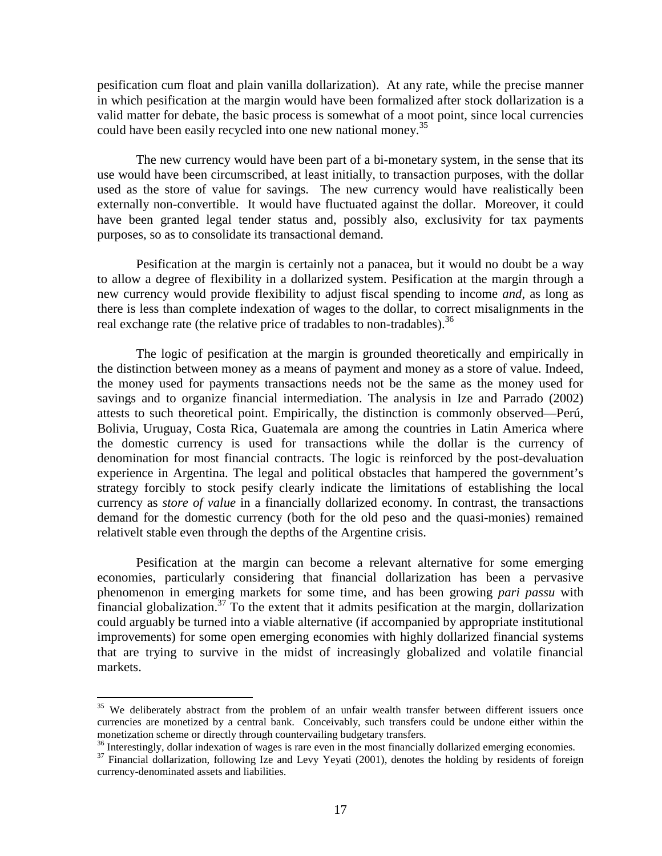pesification cum float and plain vanilla dollarization). At any rate, while the precise manner in which pesification at the margin would have been formalized after stock dollarization is a valid matter for debate, the basic process is somewhat of a moot point, since local currencies could have been easily recycled into one new national money.<sup>35</sup>

The new currency would have been part of a bi-monetary system, in the sense that its use would have been circumscribed, at least initially, to transaction purposes, with the dollar used as the store of value for savings. The new currency would have realistically been externally non-convertible. It would have fluctuated against the dollar. Moreover, it could have been granted legal tender status and, possibly also, exclusivity for tax payments purposes, so as to consolidate its transactional demand.

Pesification at the margin is certainly not a panacea, but it would no doubt be a way to allow a degree of flexibility in a dollarized system. Pesification at the margin through a new currency would provide flexibility to adjust fiscal spending to income *and*, as long as there is less than complete indexation of wages to the dollar, to correct misalignments in the real exchange rate (the relative price of tradables to non-tradables).<sup>36</sup>

The logic of pesification at the margin is grounded theoretically and empirically in the distinction between money as a means of payment and money as a store of value. Indeed, the money used for payments transactions needs not be the same as the money used for savings and to organize financial intermediation. The analysis in Ize and Parrado (2002) attests to such theoretical point. Empirically, the distinction is commonly observed—Perú, Bolivia, Uruguay, Costa Rica, Guatemala are among the countries in Latin America where the domestic currency is used for transactions while the dollar is the currency of denomination for most financial contracts. The logic is reinforced by the post-devaluation experience in Argentina. The legal and political obstacles that hampered the government's strategy forcibly to stock pesify clearly indicate the limitations of establishing the local currency as *store of value* in a financially dollarized economy. In contrast, the transactions demand for the domestic currency (both for the old peso and the quasi-monies) remained relativelt stable even through the depths of the Argentine crisis.

Pesification at the margin can become a relevant alternative for some emerging economies, particularly considering that financial dollarization has been a pervasive phenomenon in emerging markets for some time, and has been growing *pari passu* with financial globalization.<sup>37</sup> To the extent that it admits pesification at the margin, dollarization could arguably be turned into a viable alternative (if accompanied by appropriate institutional improvements) for some open emerging economies with highly dollarized financial systems that are trying to survive in the midst of increasingly globalized and volatile financial markets.

<u>.</u>

<sup>&</sup>lt;sup>35</sup> We deliberately abstract from the problem of an unfair wealth transfer between different issuers once currencies are monetized by a central bank. Conceivably, such transfers could be undone either within the monetization scheme or directly through countervailing budgetary transfers.

<sup>&</sup>lt;sup>36</sup> Interestingly, dollar indexation of wages is rare even in the most financially dollarized emerging economies.

<sup>&</sup>lt;sup>37</sup> Financial dollarization, following Ize and Levy Yeyati (2001), denotes the holding by residents of foreign currency-denominated assets and liabilities.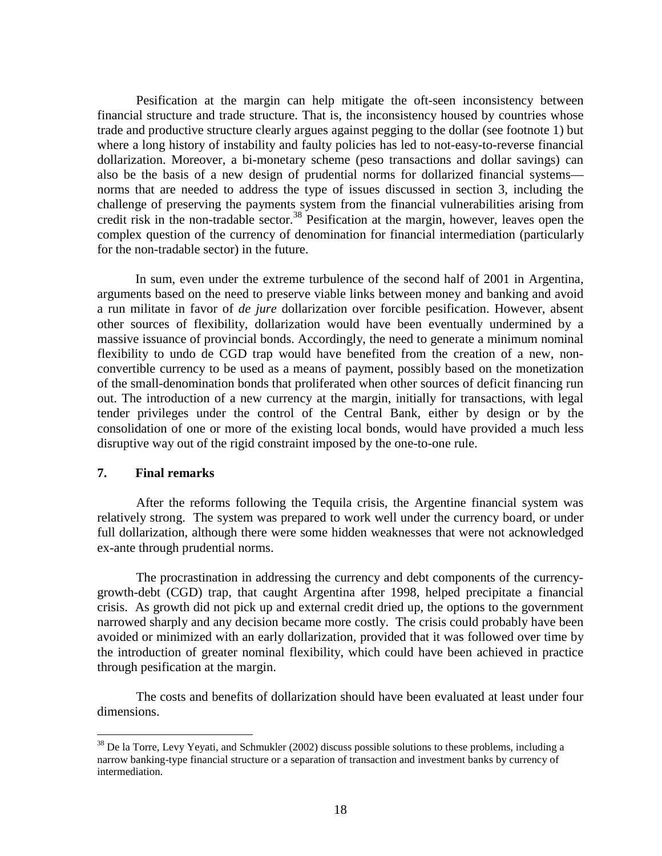Pesification at the margin can help mitigate the oft-seen inconsistency between financial structure and trade structure. That is, the inconsistency housed by countries whose trade and productive structure clearly argues against pegging to the dollar (see footnote 1) but where a long history of instability and faulty policies has led to not-easy-to-reverse financial dollarization. Moreover, a bi-monetary scheme (peso transactions and dollar savings) can also be the basis of a new design of prudential norms for dollarized financial systems norms that are needed to address the type of issues discussed in section 3, including the challenge of preserving the payments system from the financial vulnerabilities arising from credit risk in the non-tradable sector.<sup>38</sup> Pesification at the margin, however, leaves open the complex question of the currency of denomination for financial intermediation (particularly for the non-tradable sector) in the future.

In sum, even under the extreme turbulence of the second half of 2001 in Argentina, arguments based on the need to preserve viable links between money and banking and avoid a run militate in favor of *de jure* dollarization over forcible pesification. However, absent other sources of flexibility, dollarization would have been eventually undermined by a massive issuance of provincial bonds. Accordingly, the need to generate a minimum nominal flexibility to undo de CGD trap would have benefited from the creation of a new, nonconvertible currency to be used as a means of payment, possibly based on the monetization of the small-denomination bonds that proliferated when other sources of deficit financing run out. The introduction of a new currency at the margin, initially for transactions, with legal tender privileges under the control of the Central Bank, either by design or by the consolidation of one or more of the existing local bonds, would have provided a much less disruptive way out of the rigid constraint imposed by the one-to-one rule.

## **7. Final remarks**

After the reforms following the Tequila crisis, the Argentine financial system was relatively strong. The system was prepared to work well under the currency board, or under full dollarization, although there were some hidden weaknesses that were not acknowledged ex-ante through prudential norms.

The procrastination in addressing the currency and debt components of the currencygrowth-debt (CGD) trap, that caught Argentina after 1998, helped precipitate a financial crisis. As growth did not pick up and external credit dried up, the options to the government narrowed sharply and any decision became more costly. The crisis could probably have been avoided or minimized with an early dollarization, provided that it was followed over time by the introduction of greater nominal flexibility, which could have been achieved in practice through pesification at the margin.

The costs and benefits of dollarization should have been evaluated at least under four dimensions.

<sup>&</sup>lt;u>.</u>  $38$  De la Torre, Levy Yeyati, and Schmukler (2002) discuss possible solutions to these problems, including a narrow banking-type financial structure or a separation of transaction and investment banks by currency of intermediation.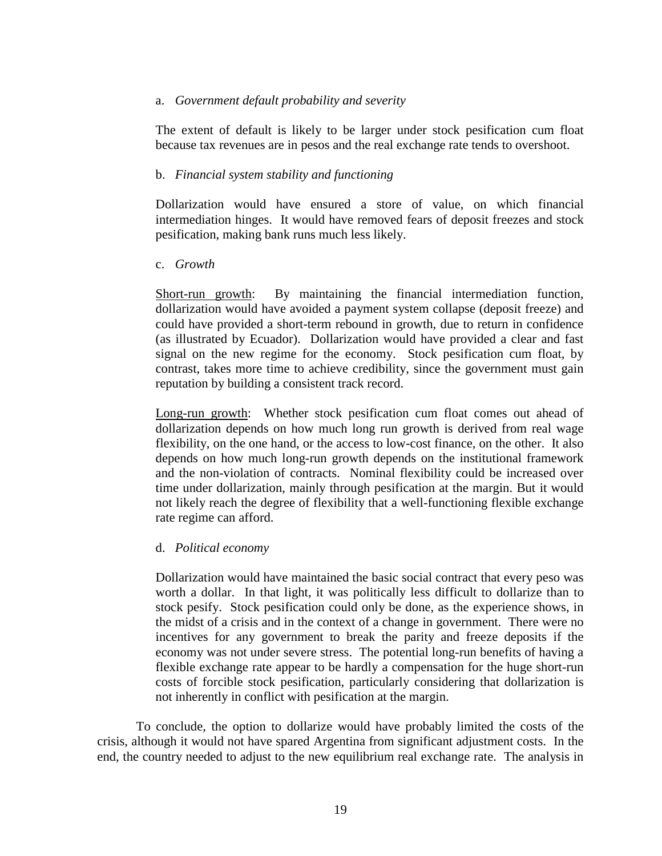#### a. *Government default probability and severity*

The extent of default is likely to be larger under stock pesification cum float because tax revenues are in pesos and the real exchange rate tends to overshoot.

# b. *Financial system stability and functioning*

Dollarization would have ensured a store of value, on which financial intermediation hinges. It would have removed fears of deposit freezes and stock pesification, making bank runs much less likely.

## c. *Growth*

Short-run growth: By maintaining the financial intermediation function, dollarization would have avoided a payment system collapse (deposit freeze) and could have provided a short-term rebound in growth, due to return in confidence (as illustrated by Ecuador). Dollarization would have provided a clear and fast signal on the new regime for the economy. Stock pesification cum float, by contrast, takes more time to achieve credibility, since the government must gain reputation by building a consistent track record.

Long-run growth: Whether stock pesification cum float comes out ahead of dollarization depends on how much long run growth is derived from real wage flexibility, on the one hand, or the access to low-cost finance, on the other. It also depends on how much long-run growth depends on the institutional framework and the non-violation of contracts. Nominal flexibility could be increased over time under dollarization, mainly through pesification at the margin. But it would not likely reach the degree of flexibility that a well-functioning flexible exchange rate regime can afford.

# d. *Political economy*

Dollarization would have maintained the basic social contract that every peso was worth a dollar. In that light, it was politically less difficult to dollarize than to stock pesify. Stock pesification could only be done, as the experience shows, in the midst of a crisis and in the context of a change in government. There were no incentives for any government to break the parity and freeze deposits if the economy was not under severe stress. The potential long-run benefits of having a flexible exchange rate appear to be hardly a compensation for the huge short-run costs of forcible stock pesification, particularly considering that dollarization is not inherently in conflict with pesification at the margin.

To conclude, the option to dollarize would have probably limited the costs of the crisis, although it would not have spared Argentina from significant adjustment costs. In the end, the country needed to adjust to the new equilibrium real exchange rate. The analysis in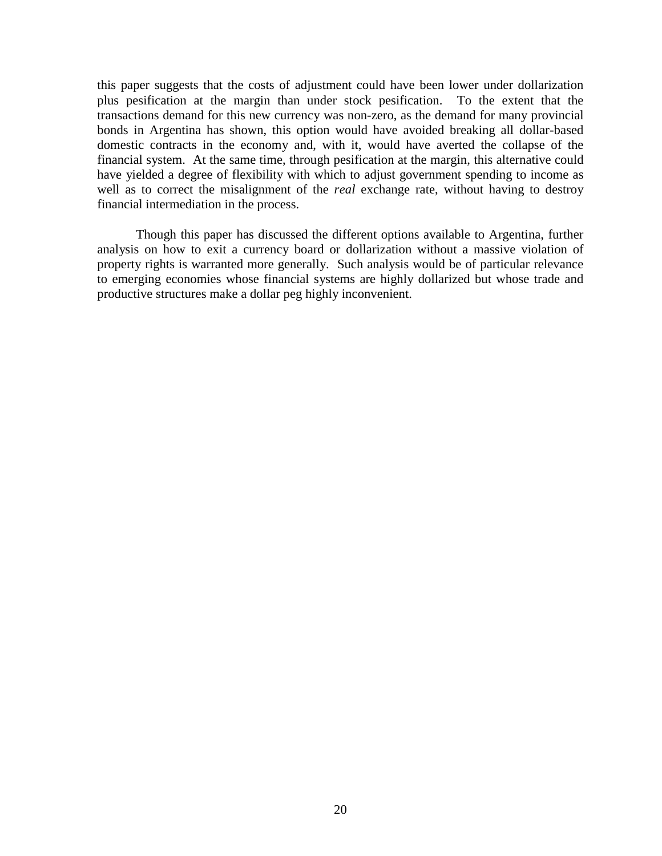this paper suggests that the costs of adjustment could have been lower under dollarization plus pesification at the margin than under stock pesification. To the extent that the transactions demand for this new currency was non-zero, as the demand for many provincial bonds in Argentina has shown, this option would have avoided breaking all dollar-based domestic contracts in the economy and, with it, would have averted the collapse of the financial system. At the same time, through pesification at the margin, this alternative could have yielded a degree of flexibility with which to adjust government spending to income as well as to correct the misalignment of the *real* exchange rate, without having to destroy financial intermediation in the process.

Though this paper has discussed the different options available to Argentina, further analysis on how to exit a currency board or dollarization without a massive violation of property rights is warranted more generally. Such analysis would be of particular relevance to emerging economies whose financial systems are highly dollarized but whose trade and productive structures make a dollar peg highly inconvenient.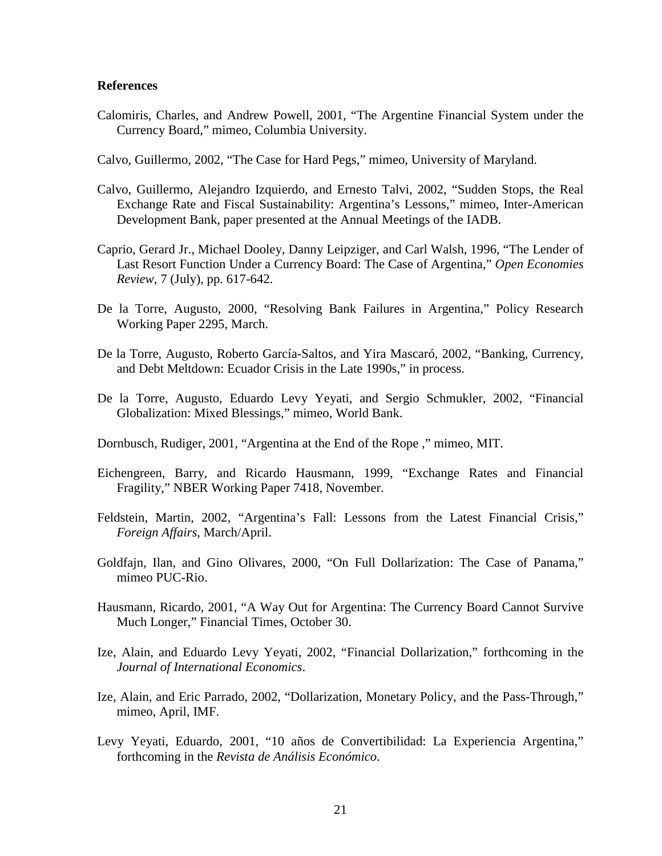#### **References**

- Calomiris, Charles, and Andrew Powell, 2001, "The Argentine Financial System under the Currency Board," mimeo, Columbia University.
- Calvo, Guillermo, 2002, "The Case for Hard Pegs," mimeo, University of Maryland.
- Calvo, Guillermo, Alejandro Izquierdo, and Ernesto Talvi, 2002, "Sudden Stops, the Real Exchange Rate and Fiscal Sustainability: Argentina's Lessons," mimeo, Inter-American Development Bank, paper presented at the Annual Meetings of the IADB.
- Caprio, Gerard Jr., Michael Dooley, Danny Leipziger, and Carl Walsh, 1996, "The Lender of Last Resort Function Under a Currency Board: The Case of Argentina," *Open Economies Review*, 7 (July), pp. 617-642.
- De la Torre, Augusto, 2000, "Resolving Bank Failures in Argentina," Policy Research Working Paper 2295, March.
- De la Torre, Augusto, Roberto García-Saltos, and Yira Mascaró, 2002, "Banking, Currency, and Debt Meltdown: Ecuador Crisis in the Late 1990s," in process.
- De la Torre, Augusto, Eduardo Levy Yeyati, and Sergio Schmukler, 2002, "Financial Globalization: Mixed Blessings," mimeo, World Bank.
- Dornbusch, Rudiger, 2001, "Argentina at the End of the Rope ," mimeo, MIT.
- Eichengreen, Barry, and Ricardo Hausmann, 1999, "Exchange Rates and Financial Fragility," NBER Working Paper 7418, November.
- Feldstein, Martin, 2002, "Argentina's Fall: Lessons from the Latest Financial Crisis," *Foreign Affairs*, March/April.
- Goldfajn, Ilan, and Gino Olivares, 2000, "On Full Dollarization: The Case of Panama," mimeo PUC-Rio.
- Hausmann, Ricardo, 2001, "A Way Out for Argentina: The Currency Board Cannot Survive Much Longer," Financial Times, October 30.
- Ize, Alain, and Eduardo Levy Yeyati, 2002, "Financial Dollarization," forthcoming in the *Journal of International Economics*.
- Ize, Alain, and Eric Parrado, 2002, "Dollarization, Monetary Policy, and the Pass-Through," mimeo, April, IMF.
- Levy Yeyati, Eduardo, 2001, "10 años de Convertibilidad: La Experiencia Argentina," forthcoming in the *Revista de Análisis Económico*.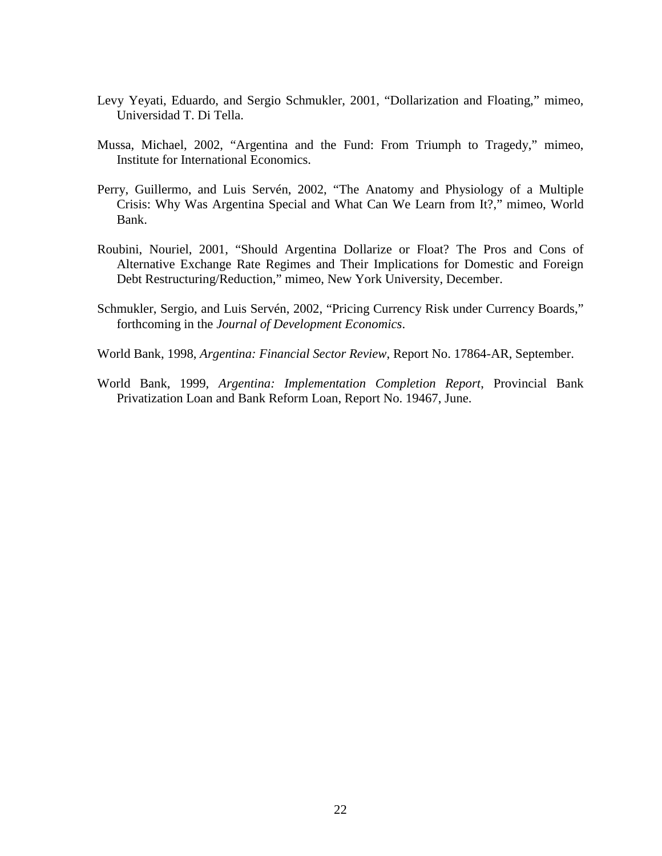- Levy Yeyati, Eduardo, and Sergio Schmukler, 2001, "Dollarization and Floating," mimeo, Universidad T. Di Tella.
- Mussa, Michael, 2002, "Argentina and the Fund: From Triumph to Tragedy," mimeo, Institute for International Economics.
- Perry, Guillermo, and Luis Servén, 2002, "The Anatomy and Physiology of a Multiple Crisis: Why Was Argentina Special and What Can We Learn from It?," mimeo, World Bank.
- Roubini, Nouriel, 2001, "Should Argentina Dollarize or Float? The Pros and Cons of Alternative Exchange Rate Regimes and Their Implications for Domestic and Foreign Debt Restructuring/Reduction," mimeo, New York University, December.
- Schmukler, Sergio, and Luis Servén, 2002, "Pricing Currency Risk under Currency Boards," forthcoming in the *Journal of Development Economics*.
- World Bank, 1998, *Argentina: Financial Sector Review*, Report No. 17864-AR, September.
- World Bank, 1999, *Argentina: Implementation Completion Report*, Provincial Bank Privatization Loan and Bank Reform Loan, Report No. 19467, June.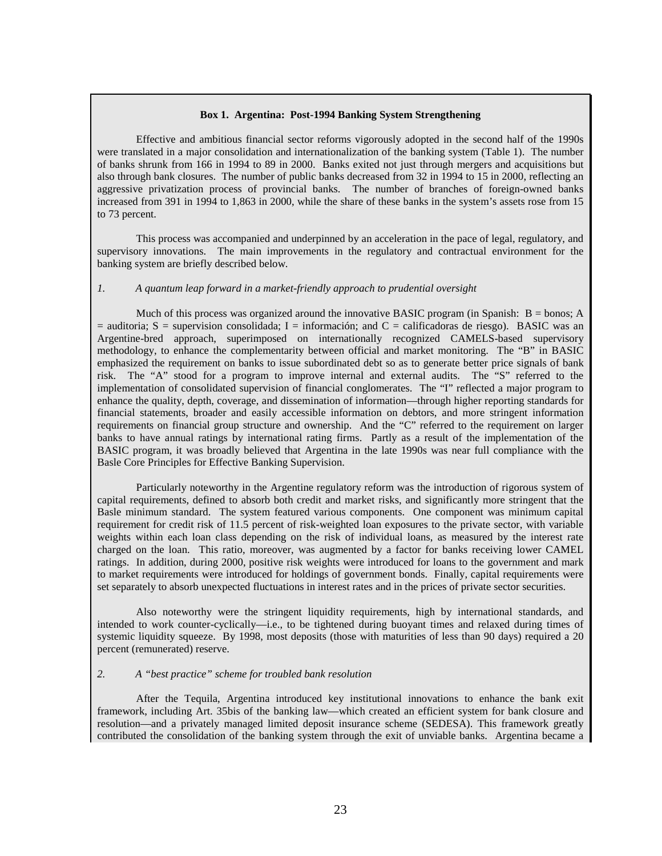#### **Box 1. Argentina: Post-1994 Banking System Strengthening**

Effective and ambitious financial sector reforms vigorously adopted in the second half of the 1990s were translated in a major consolidation and internationalization of the banking system (Table 1). The number of banks shrunk from 166 in 1994 to 89 in 2000. Banks exited not just through mergers and acquisitions but also through bank closures. The number of public banks decreased from 32 in 1994 to 15 in 2000, reflecting an aggressive privatization process of provincial banks. The number of branches of foreign-owned banks increased from 391 in 1994 to 1,863 in 2000, while the share of these banks in the system's assets rose from 15 to 73 percent.

This process was accompanied and underpinned by an acceleration in the pace of legal, regulatory, and supervisory innovations. The main improvements in the regulatory and contractual environment for the banking system are briefly described below.

#### *1. A quantum leap forward in a market-friendly approach to prudential oversight*

Much of this process was organized around the innovative BASIC program (in Spanish:  $B = \text{bonos}$ ; A  $=$  auditoria; S = supervision consolidada; I = información; and C = calificadoras de riesgo). BASIC was an Argentine-bred approach, superimposed on internationally recognized CAMELS-based supervisory methodology, to enhance the complementarity between official and market monitoring. The "B" in BASIC emphasized the requirement on banks to issue subordinated debt so as to generate better price signals of bank risk. The "A" stood for a program to improve internal and external audits. The "S" referred to the implementation of consolidated supervision of financial conglomerates. The "I" reflected a major program to enhance the quality, depth, coverage, and dissemination of information—through higher reporting standards for financial statements, broader and easily accessible information on debtors, and more stringent information requirements on financial group structure and ownership. And the "C" referred to the requirement on larger banks to have annual ratings by international rating firms. Partly as a result of the implementation of the BASIC program, it was broadly believed that Argentina in the late 1990s was near full compliance with the Basle Core Principles for Effective Banking Supervision.

Particularly noteworthy in the Argentine regulatory reform was the introduction of rigorous system of capital requirements, defined to absorb both credit and market risks, and significantly more stringent that the Basle minimum standard. The system featured various components. One component was minimum capital requirement for credit risk of 11.5 percent of risk-weighted loan exposures to the private sector, with variable weights within each loan class depending on the risk of individual loans, as measured by the interest rate charged on the loan. This ratio, moreover, was augmented by a factor for banks receiving lower CAMEL ratings. In addition, during 2000, positive risk weights were introduced for loans to the government and mark to market requirements were introduced for holdings of government bonds. Finally, capital requirements were set separately to absorb unexpected fluctuations in interest rates and in the prices of private sector securities.

Also noteworthy were the stringent liquidity requirements, high by international standards, and intended to work counter-cyclically—i.e., to be tightened during buoyant times and relaxed during times of systemic liquidity squeeze. By 1998, most deposits (those with maturities of less than 90 days) required a 20 percent (remunerated) reserve.

#### *2. A "best practice" scheme for troubled bank resolution*

After the Tequila, Argentina introduced key institutional innovations to enhance the bank exit framework, including Art. 35bis of the banking law—which created an efficient system for bank closure and resolution—and a privately managed limited deposit insurance scheme (SEDESA). This framework greatly contributed the consolidation of the banking system through the exit of unviable banks. Argentina became a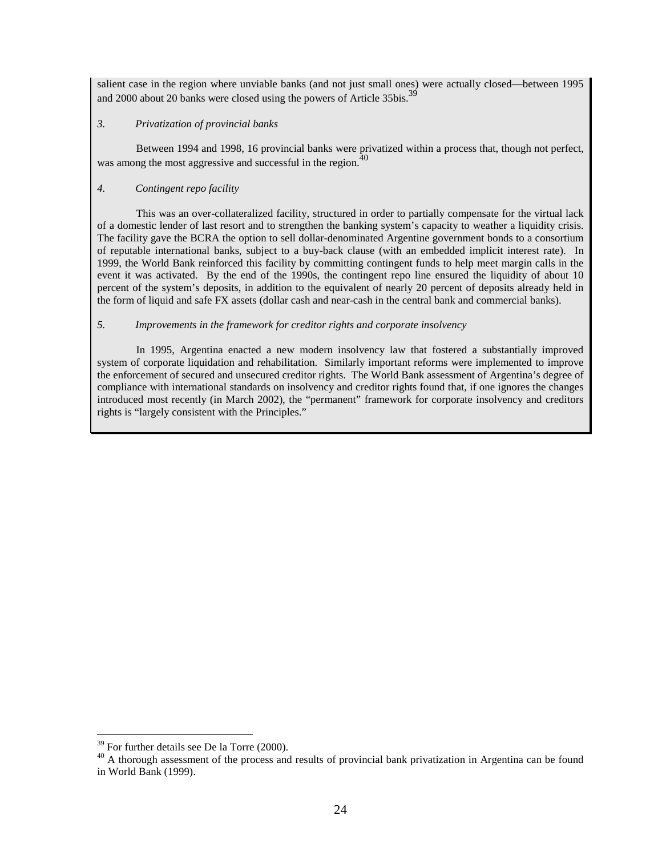salient case in the region where unviable banks (and not just small ones) were actually closed—between 1995 and 2000 about 20 banks were closed using the powers of Article 35bis.<sup>39</sup>

#### *3. Privatization of provincial banks*

Between 1994 and 1998, 16 provincial banks were privatized within a process that, though not perfect, was among the most aggressive and successful in the region. $\frac{1}{2}$ 

#### *4. Contingent repo facility*

This was an over-collateralized facility, structured in order to partially compensate for the virtual lack of a domestic lender of last resort and to strengthen the banking system's capacity to weather a liquidity crisis. The facility gave the BCRA the option to sell dollar-denominated Argentine government bonds to a consortium of reputable international banks, subject to a buy-back clause (with an embedded implicit interest rate). In 1999, the World Bank reinforced this facility by committing contingent funds to help meet margin calls in the event it was activated. By the end of the 1990s, the contingent repo line ensured the liquidity of about 10 percent of the system's deposits, in addition to the equivalent of nearly 20 percent of deposits already held in the form of liquid and safe FX assets (dollar cash and near-cash in the central bank and commercial banks).

#### *5. Improvements in the framework for creditor rights and corporate insolvency*

In 1995, Argentina enacted a new modern insolvency law that fostered a substantially improved system of corporate liquidation and rehabilitation. Similarly important reforms were implemented to improve the enforcement of secured and unsecured creditor rights. The World Bank assessment of Argentina's degree of compliance with international standards on insolvency and creditor rights found that, if one ignores the changes introduced most recently (in March 2002), the "permanent" framework for corporate insolvency and creditors rights is "largely consistent with the Principles."

<u>.</u>

<sup>&</sup>lt;sup>39</sup> For further details see De la Torre (2000).

<sup>&</sup>lt;sup>40</sup> A thorough assessment of the process and results of provincial bank privatization in Argentina can be found in World Bank (1999).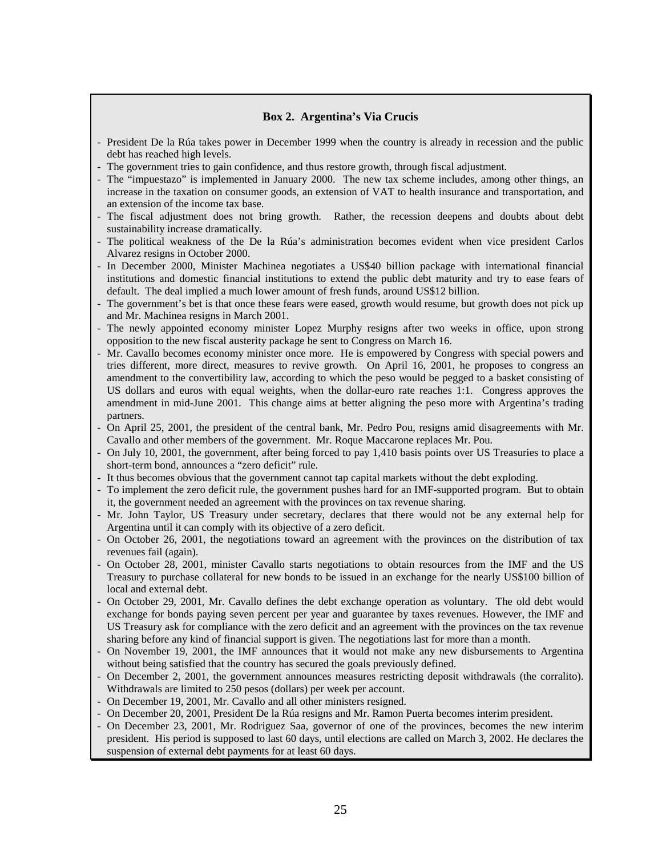#### **Box 2. Argentina's Via Crucis**

- President De la Rúa takes power in December 1999 when the country is already in recession and the public debt has reached high levels.
- The government tries to gain confidence, and thus restore growth, through fiscal adjustment.
- The "impuestazo" is implemented in January 2000. The new tax scheme includes, among other things, an increase in the taxation on consumer goods, an extension of VAT to health insurance and transportation, and an extension of the income tax base.
- The fiscal adjustment does not bring growth. Rather, the recession deepens and doubts about debt sustainability increase dramatically.
- The political weakness of the De la Rúa's administration becomes evident when vice president Carlos Alvarez resigns in October 2000.
- In December 2000, Minister Machinea negotiates a US\$40 billion package with international financial institutions and domestic financial institutions to extend the public debt maturity and try to ease fears of default. The deal implied a much lower amount of fresh funds, around US\$12 billion.
- The government's bet is that once these fears were eased, growth would resume, but growth does not pick up and Mr. Machinea resigns in March 2001.
- The newly appointed economy minister Lopez Murphy resigns after two weeks in office, upon strong opposition to the new fiscal austerity package he sent to Congress on March 16.
- Mr. Cavallo becomes economy minister once more. He is empowered by Congress with special powers and tries different, more direct, measures to revive growth. On April 16, 2001, he proposes to congress an amendment to the convertibility law, according to which the peso would be pegged to a basket consisting of US dollars and euros with equal weights, when the dollar-euro rate reaches 1:1. Congress approves the amendment in mid-June 2001. This change aims at better aligning the peso more with Argentina's trading partners.
- On April 25, 2001, the president of the central bank, Mr. Pedro Pou, resigns amid disagreements with Mr. Cavallo and other members of the government. Mr. Roque Maccarone replaces Mr. Pou.
- On July 10, 2001, the government, after being forced to pay 1,410 basis points over US Treasuries to place a short-term bond, announces a "zero deficit" rule.
- It thus becomes obvious that the government cannot tap capital markets without the debt exploding.
- To implement the zero deficit rule, the government pushes hard for an IMF-supported program. But to obtain it, the government needed an agreement with the provinces on tax revenue sharing.
- Mr. John Taylor, US Treasury under secretary, declares that there would not be any external help for Argentina until it can comply with its objective of a zero deficit.
- On October 26, 2001, the negotiations toward an agreement with the provinces on the distribution of tax revenues fail (again).
- On October 28, 2001, minister Cavallo starts negotiations to obtain resources from the IMF and the US Treasury to purchase collateral for new bonds to be issued in an exchange for the nearly US\$100 billion of local and external debt.
- On October 29, 2001, Mr. Cavallo defines the debt exchange operation as voluntary. The old debt would exchange for bonds paying seven percent per year and guarantee by taxes revenues. However, the IMF and US Treasury ask for compliance with the zero deficit and an agreement with the provinces on the tax revenue sharing before any kind of financial support is given. The negotiations last for more than a month.
- On November 19, 2001, the IMF announces that it would not make any new disbursements to Argentina without being satisfied that the country has secured the goals previously defined.
- On December 2, 2001, the government announces measures restricting deposit withdrawals (the corralito). Withdrawals are limited to 250 pesos (dollars) per week per account.
- On December 19, 2001, Mr. Cavallo and all other ministers resigned.
- On December 20, 2001, President De la Rúa resigns and Mr. Ramon Puerta becomes interim president.
- On December 23, 2001, Mr. Rodriguez Saa, governor of one of the provinces, becomes the new interim president. His period is supposed to last 60 days, until elections are called on March 3, 2002. He declares the suspension of external debt payments for at least 60 days.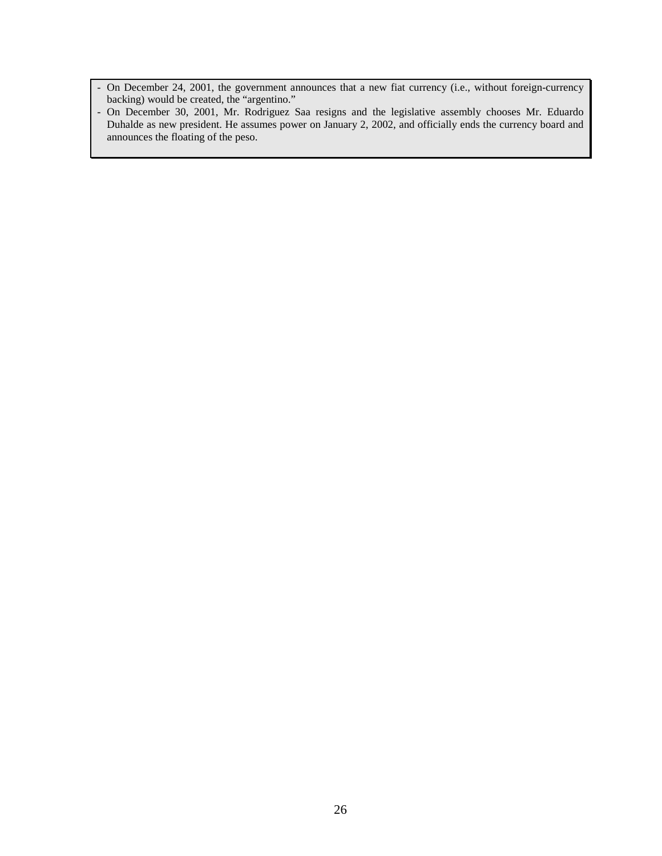- On December 24, 2001, the government announces that a new fiat currency (i.e., without foreign-currency backing) would be created, the "argentino."
- On December 30, 2001, Mr. Rodriguez Saa resigns and the legislative assembly chooses Mr. Eduardo Duhalde as new president. He assumes power on January 2, 2002, and officially ends the currency board and announces the floating of the peso.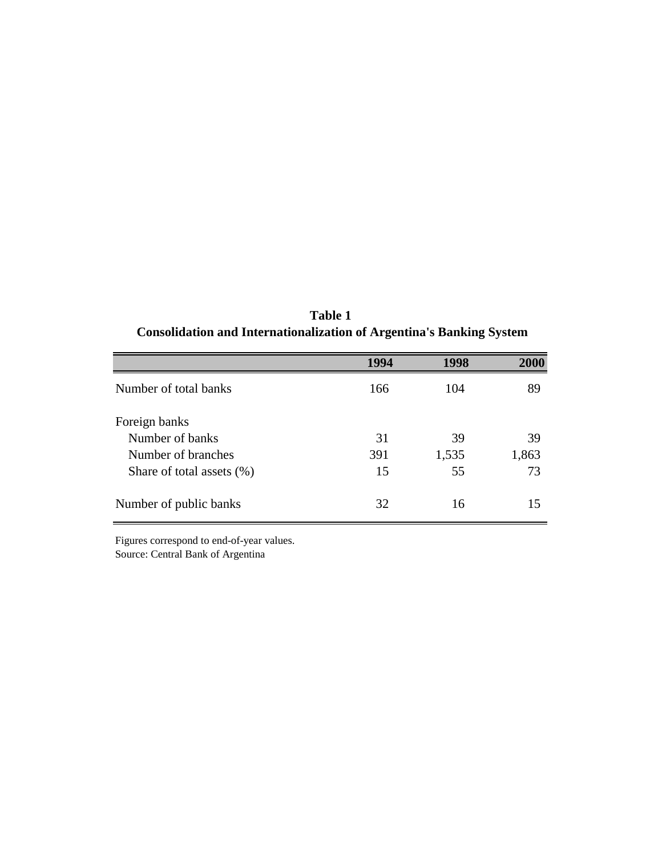**Table 1 Consolidation and Internationalization of Argentina's Banking System**

|                              | 1994 | 1998  | 2000  |
|------------------------------|------|-------|-------|
| Number of total banks        | 166  | 104   | 89    |
| Foreign banks                |      |       |       |
| Number of banks              | 31   | 39    | 39    |
| Number of branches           | 391  | 1,535 | 1,863 |
| Share of total assets $(\%)$ | 15   | 55    | 73    |
| Number of public banks       | 32   | 16    | 15    |

Source: Central Bank of Argentina Figures correspond to end-of-year values.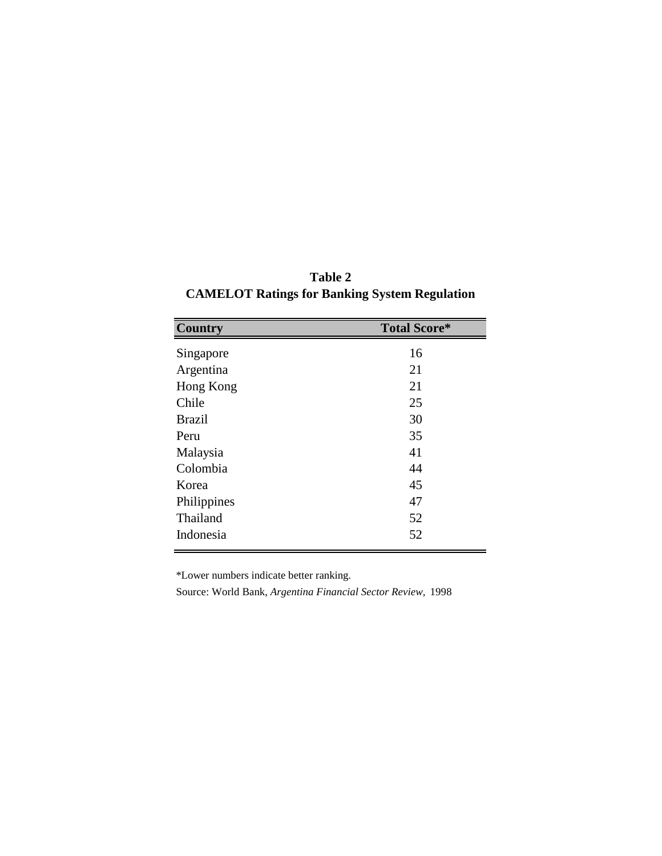| <b>Table 2</b>                                       |  |  |  |
|------------------------------------------------------|--|--|--|
| <b>CAMELOT Ratings for Banking System Regulation</b> |  |  |  |

| <b>Country</b> | <b>Total Score*</b> |
|----------------|---------------------|
| Singapore      | 16                  |
| Argentina      | 21                  |
| Hong Kong      | 21                  |
| Chile          | 25                  |
| <b>Brazil</b>  | 30                  |
| Peru           | 35                  |
| Malaysia       | 41                  |
| Colombia       | 44                  |
| Korea          | 45                  |
| Philippines    | 47                  |
| Thailand       | 52                  |
| Indonesia      | 52                  |

\*Lower numbers indicate better ranking.

Source: World Bank, *Argentina Financial Sector Review,* 1998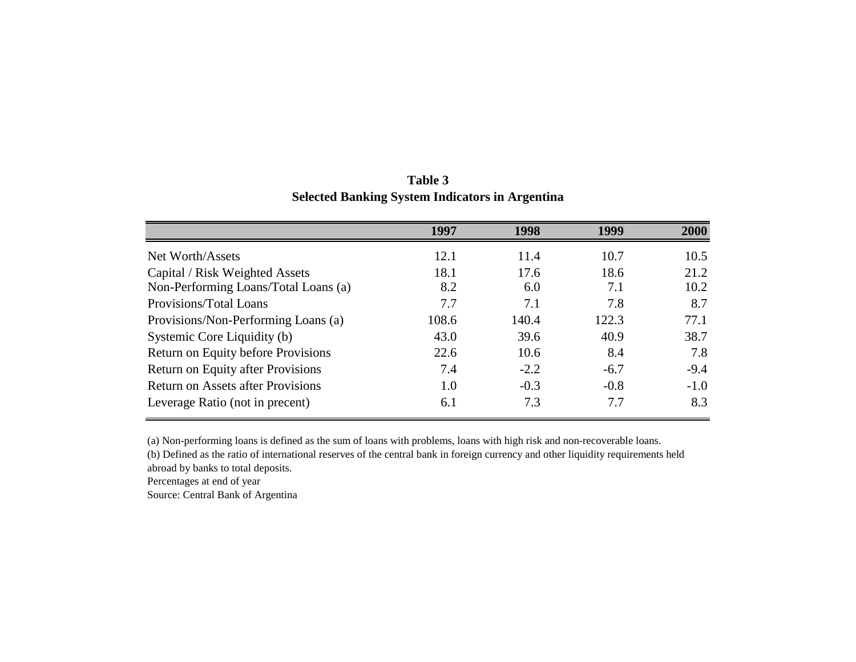|                                          | 1997  | 1998   | 1999   | 2000   |
|------------------------------------------|-------|--------|--------|--------|
| Net Worth/Assets                         | 12.1  | 11.4   | 10.7   | 10.5   |
| Capital / Risk Weighted Assets           | 18.1  | 17.6   | 18.6   | 21.2   |
| Non-Performing Loans/Total Loans (a)     | 8.2   | 6.0    | 7.1    | 10.2   |
| Provisions/Total Loans                   | 7.7   | 7.1    | 7.8    | 8.7    |
| Provisions/Non-Performing Loans (a)      | 108.6 | 140.4  | 122.3  | 77.1   |
| Systemic Core Liquidity (b)              | 43.0  | 39.6   | 40.9   | 38.7   |
| Return on Equity before Provisions       | 22.6  | 10.6   | 8.4    | 7.8    |
| Return on Equity after Provisions        | 7.4   | $-2.2$ | $-6.7$ | $-9.4$ |
| <b>Return on Assets after Provisions</b> | 1.0   | $-0.3$ | $-0.8$ | $-1.0$ |
| Leverage Ratio (not in precent)          | 6.1   | 7.3    | 7.7    | 8.3    |

**Table 3 Selected Banking System Indicators in Argentina**

(a) Non-performing loans is defined as the sum of loans with problems, loans with high risk and non-recoverable loans.

(b) Defined as the ratio of international reserves of the central bank in foreign currency and other liquidity requirements held abroad by banks to total deposits.

Percentages at end of year

Source: Central Bank of Argentina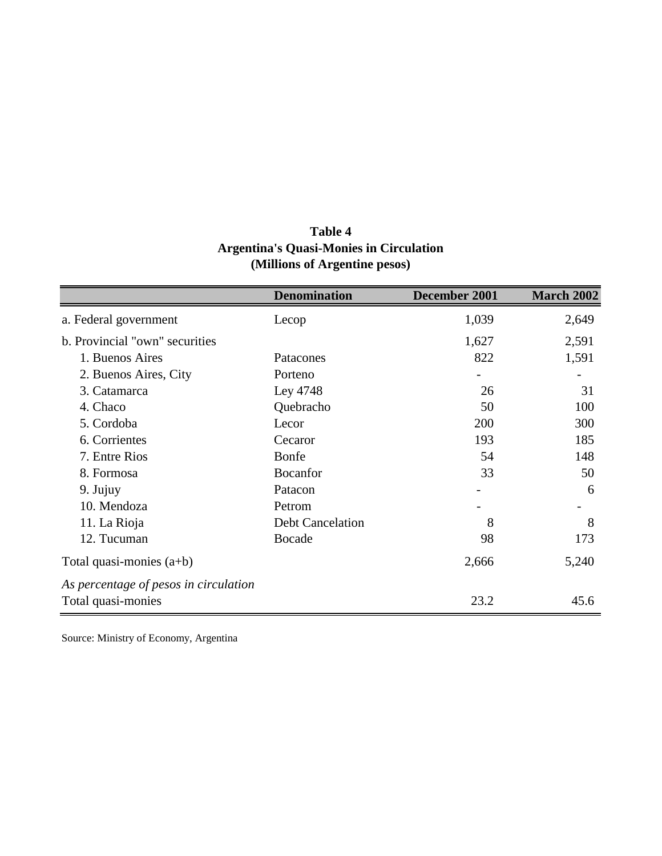| <b>Table 4</b>                                 |
|------------------------------------------------|
| <b>Argentina's Quasi-Monies in Circulation</b> |
| (Millions of Argentine pesos)                  |

|                                       | <b>Denomination</b>     | December 2001 | <b>March 2002</b> |
|---------------------------------------|-------------------------|---------------|-------------------|
| a. Federal government                 | Lecop                   | 1,039         | 2,649             |
| b. Provincial "own" securities        |                         | 1,627         | 2,591             |
| 1. Buenos Aires                       | Patacones               | 822           | 1,591             |
| 2. Buenos Aires, City                 | Porteno                 |               |                   |
| 3. Catamarca                          | Ley 4748                | 26            | 31                |
| 4. Chaco                              | Quebracho               | 50            | 100               |
| 5. Cordoba                            | Lecor                   | 200           | 300               |
| 6. Corrientes                         | Cecaror                 | 193           | 185               |
| 7. Entre Rios                         | Bonfe                   | 54            | 148               |
| 8. Formosa                            | Bocanfor                | 33            | 50                |
| 9. Jujuy                              | Patacon                 |               | 6                 |
| 10. Mendoza                           | Petrom                  |               |                   |
| 11. La Rioja                          | <b>Debt Cancelation</b> | 8             | 8                 |
| 12. Tucuman                           | Bocade                  | 98            | 173               |
| Total quasi-monies $(a+b)$            |                         | 2,666         | 5,240             |
| As percentage of pesos in circulation |                         |               |                   |
| Total quasi-monies                    |                         | 23.2          | 45.6              |

Source: Ministry of Economy, Argentina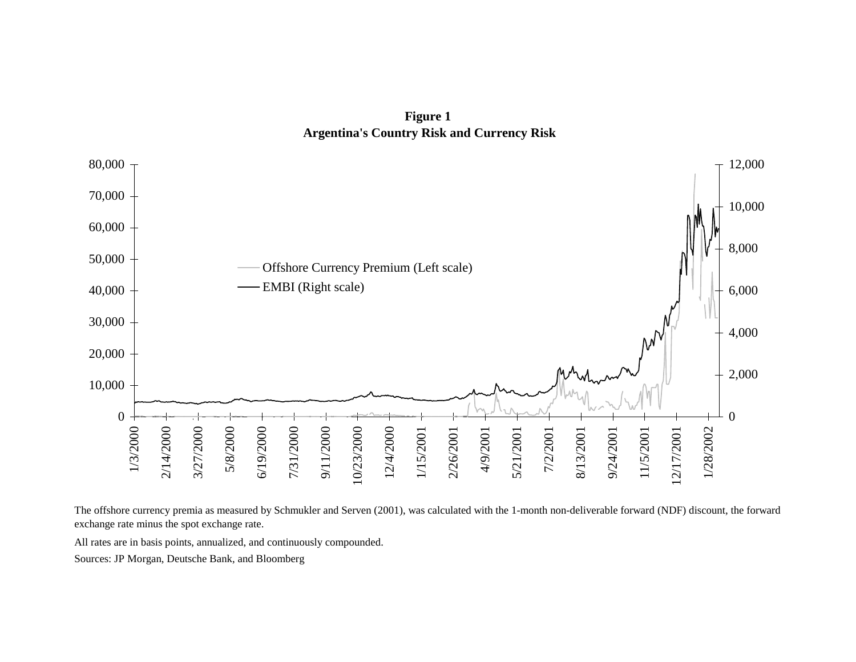**Figure 1 Argentina's Country Risk and Currency Risk**



The offshore currency premia as measured by Schmukler and Serven (2001), was calculated with the 1-month non-deliverable forward (NDF) discount, the forward exchange rate minus the spot exchange rate.

All rates are in basis points, annualized, and continuously compounded.

Sources: JP Morgan, Deutsche Bank, and Bloomberg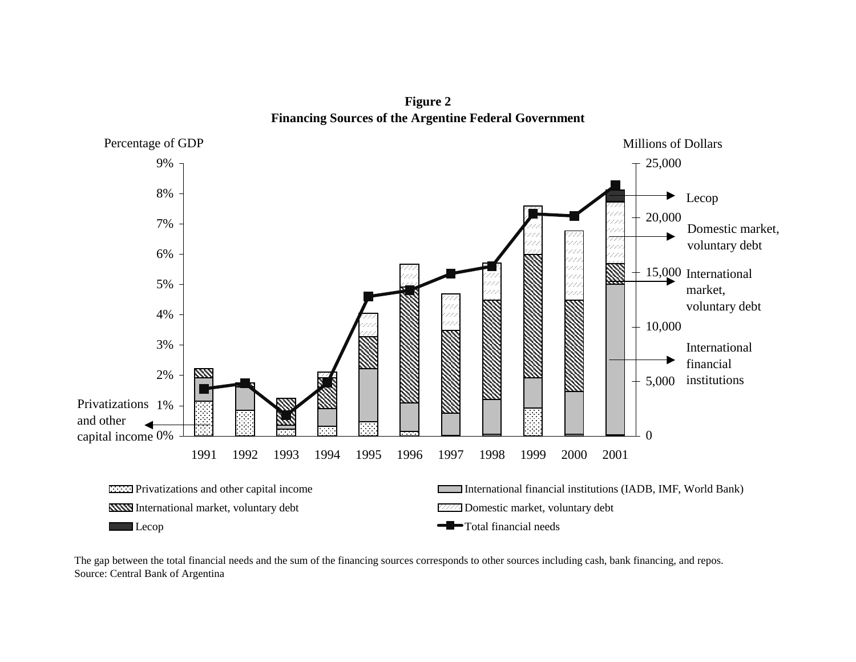**Figure 2 Financing Sources of the Argentine Federal Government**



The gap between the total financial needs and the sum of the financing sources corresponds to other sources including cash, bank financing, and repos. Source: Central Bank of Argentina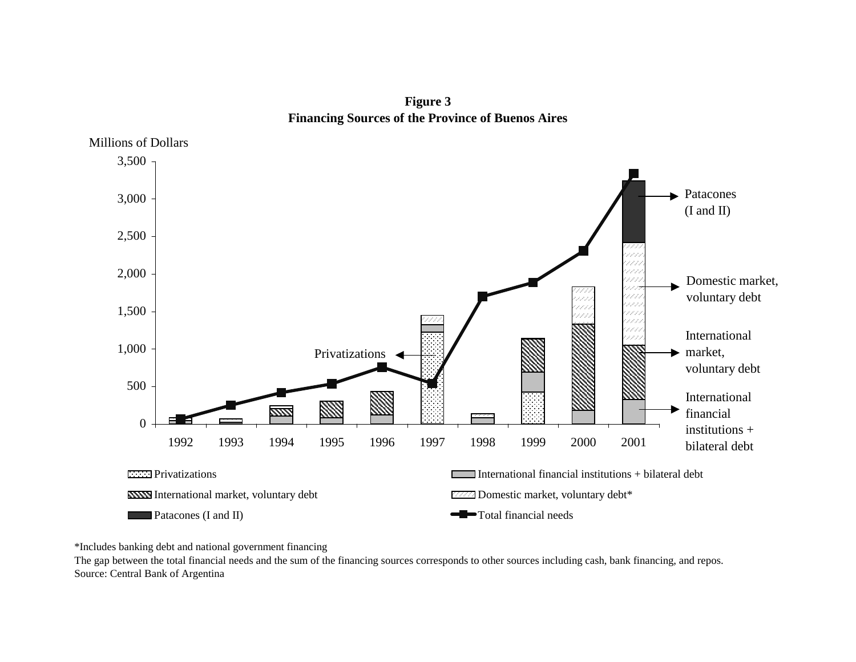**Figure 3 Financing Sources of the Province of Buenos Aires**



\*Includes banking debt and national government financing

Source: Central Bank of Argentina The gap between the total financial needs and the sum of the financing sources corresponds to other sources including cash, bank financing, and repos.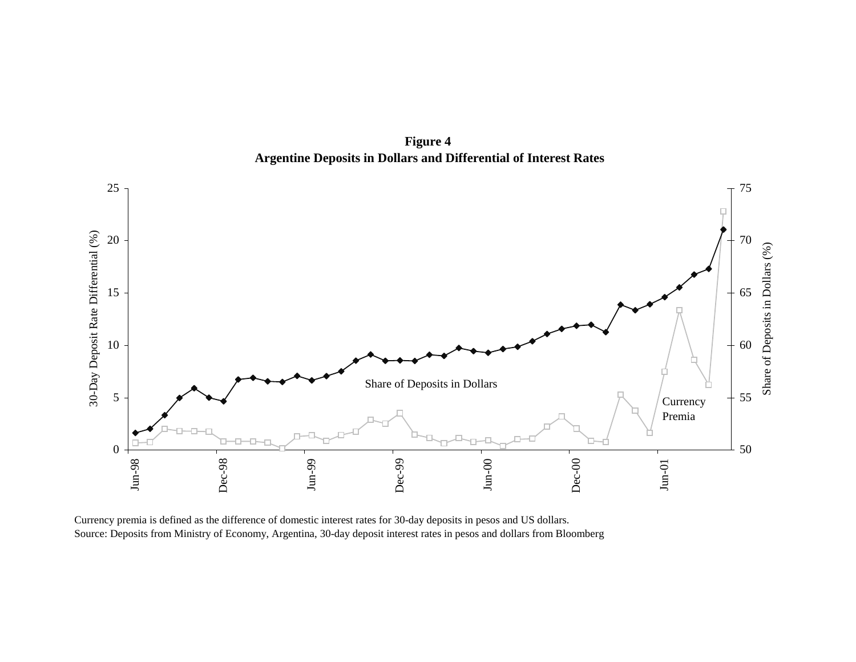**Figure 4 Argentine Deposits in Dollars and Differential of Interest Rates**



Source: Deposits from Ministry of Economy, Argentina, 30-day deposit interest rates in pesos and dollars from Bloomberg Currency premia is defined as the difference of domestic interest rates for 30-day deposits in pesos and US dollars.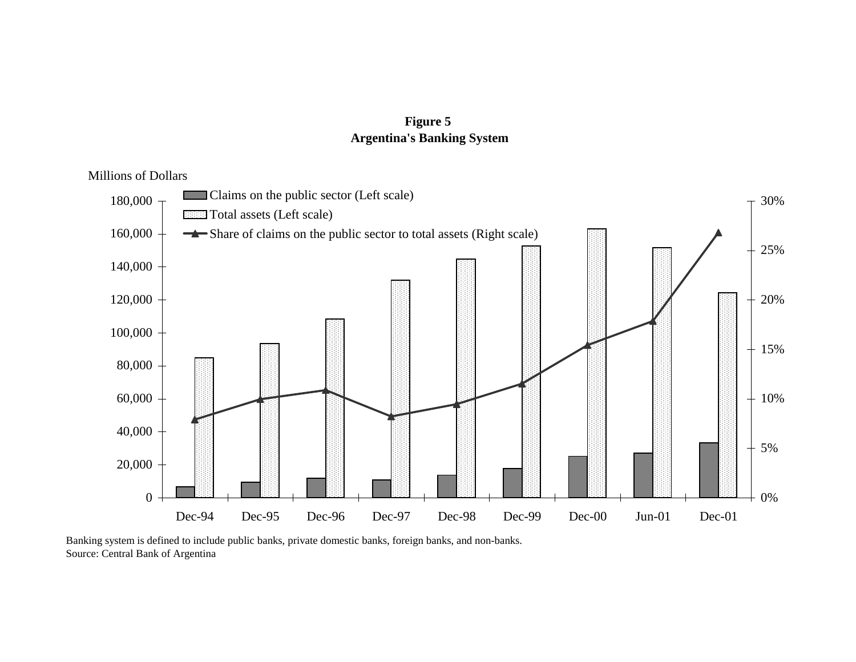# **Figure 5 Argentina's Banking System**

Millions of Dollars



Source: Central Bank of Argentina Banking system is defined to include public banks, private domestic banks, foreign banks, and non-banks.